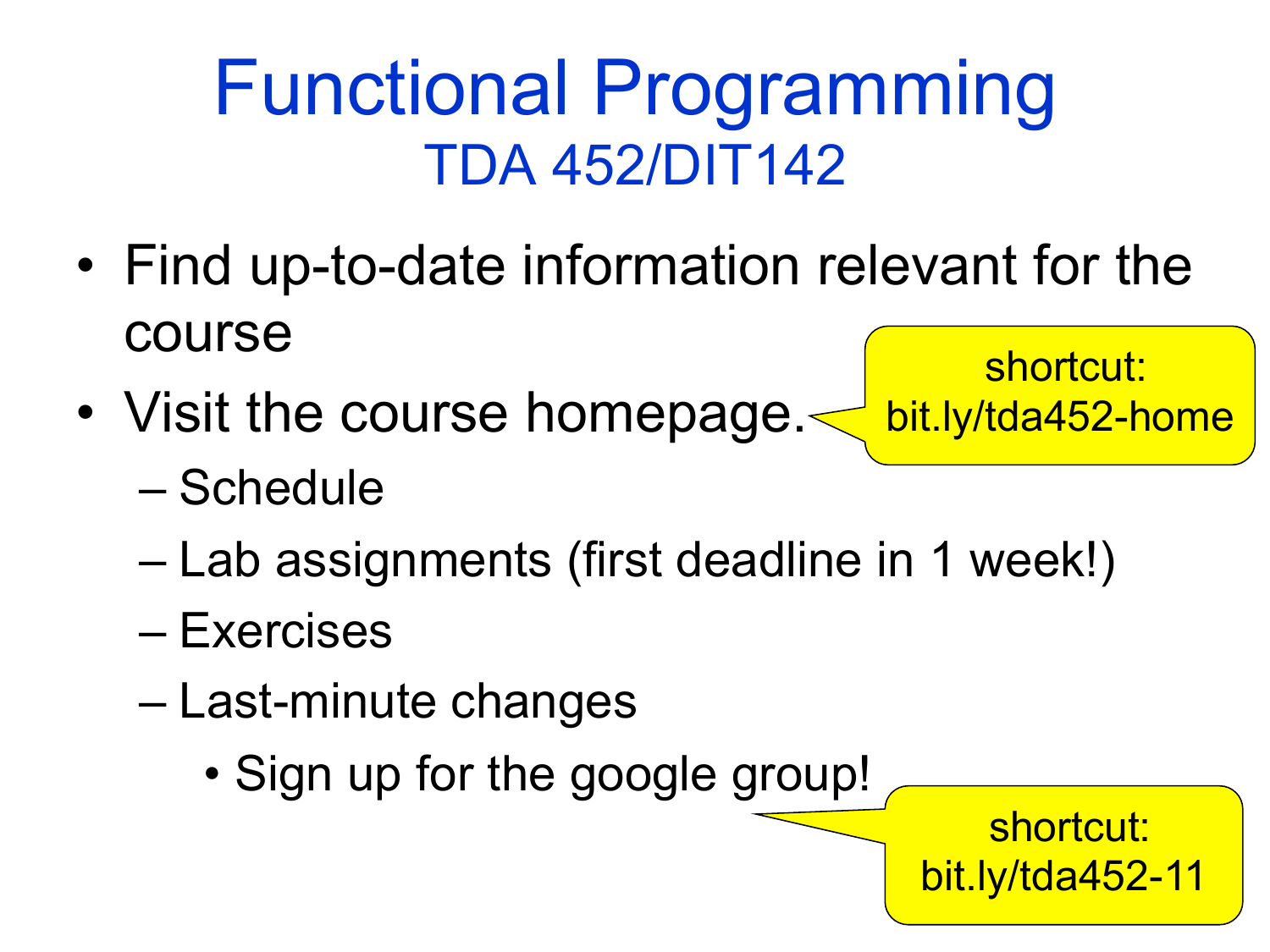# Functional Programming<br>TDA 452/DIT142

- Find up-to-date information relevant for the course
- Visit the course homepage.

shortcut: bit.ly/tda452-home

- Schedule
- Lab assignments (first deadline in 1 week!)
- Exercises
- Last-minute changes
	- Sign up for the google group!

shortcut: bit.ly/tda452-11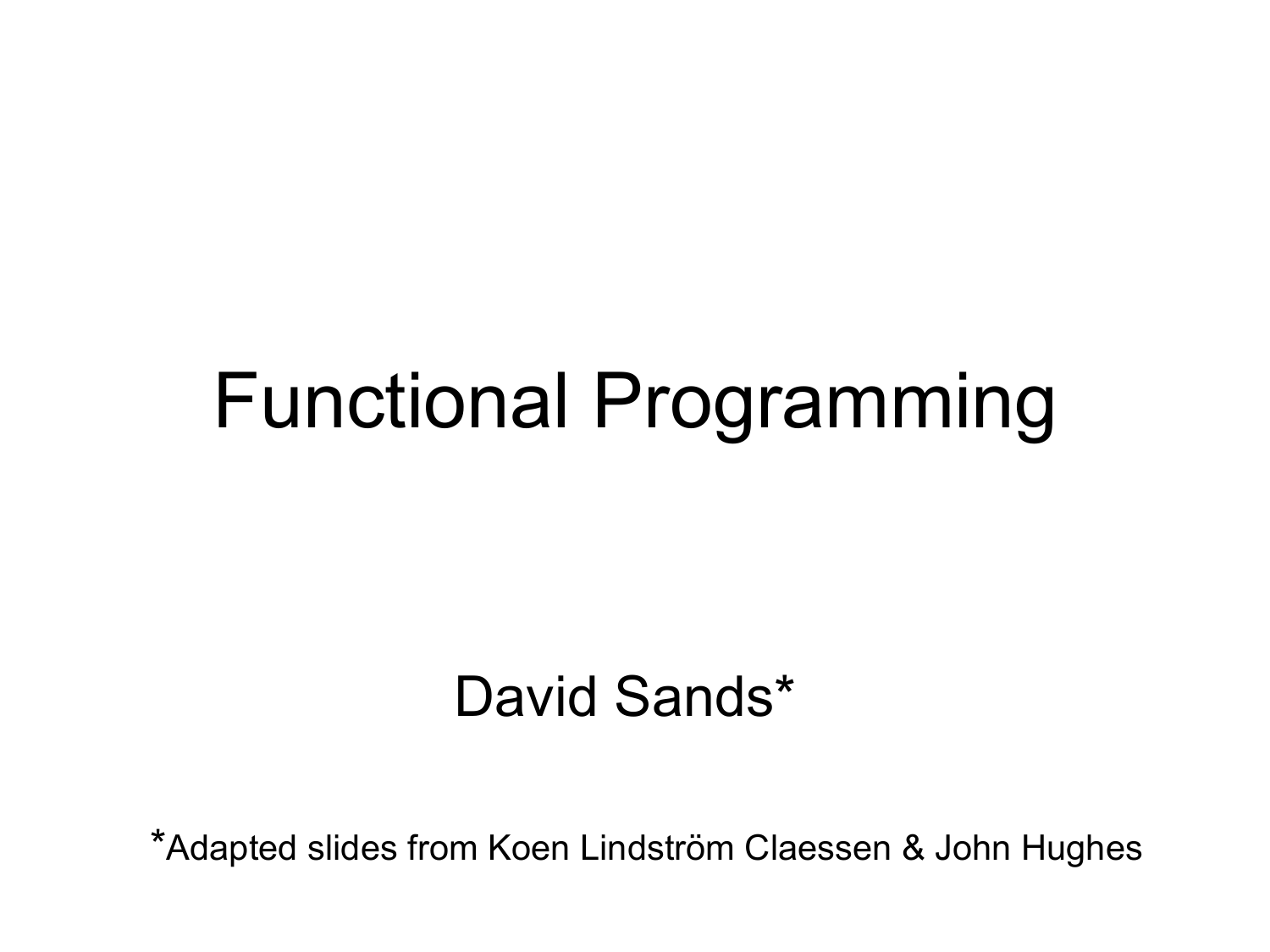#### Functional Programming

#### David Sands\*

\*Adapted slides from Koen Lindström Claessen & John Hughes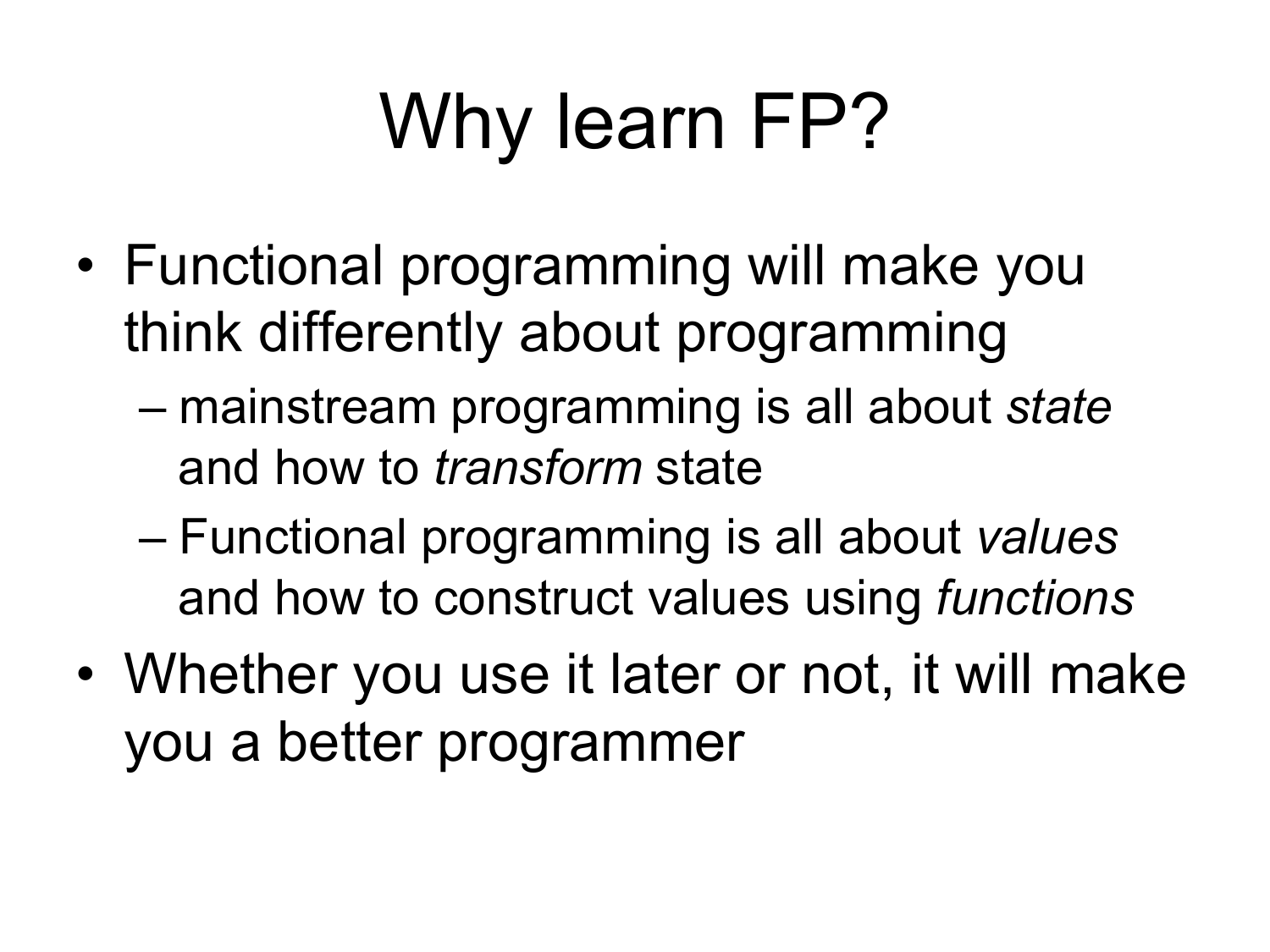# Why learn FP?

- Functional programming will make you think differently about programming
	- mainstream programming is all about *state*  and how to *transform* state
	- Functional programming is all about *values* and how to construct values using *functions*
- Whether you use it later or not, it will make you a better programmer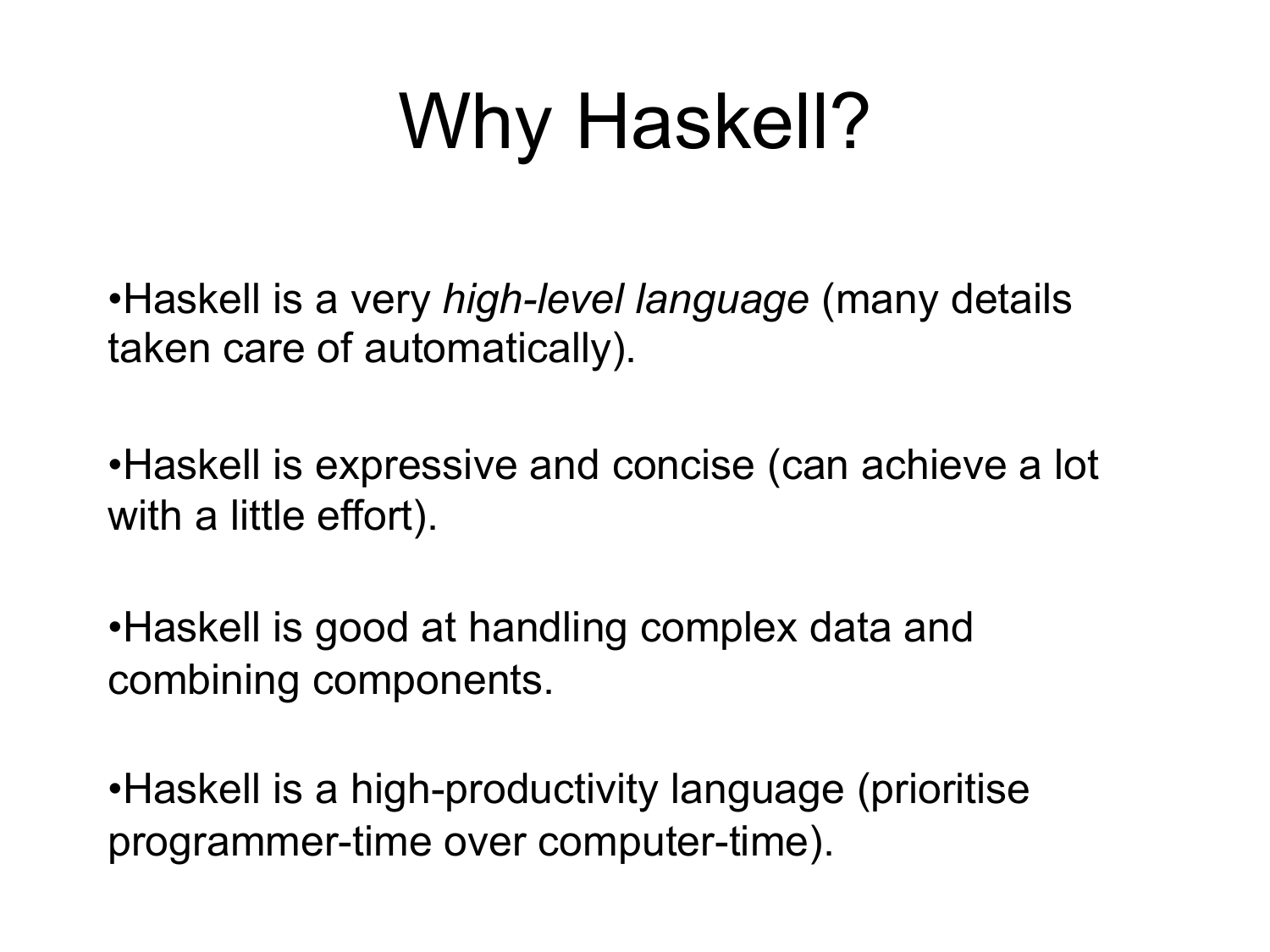# Why Haskell?

•Haskell is a very *high-level language* (many details taken care of automatically).

•Haskell is expressive and concise (can achieve a lot with a little effort).

•Haskell is good at handling complex data and combining components.

•Haskell is a high-productivity language (prioritise programmer-time over computer-time).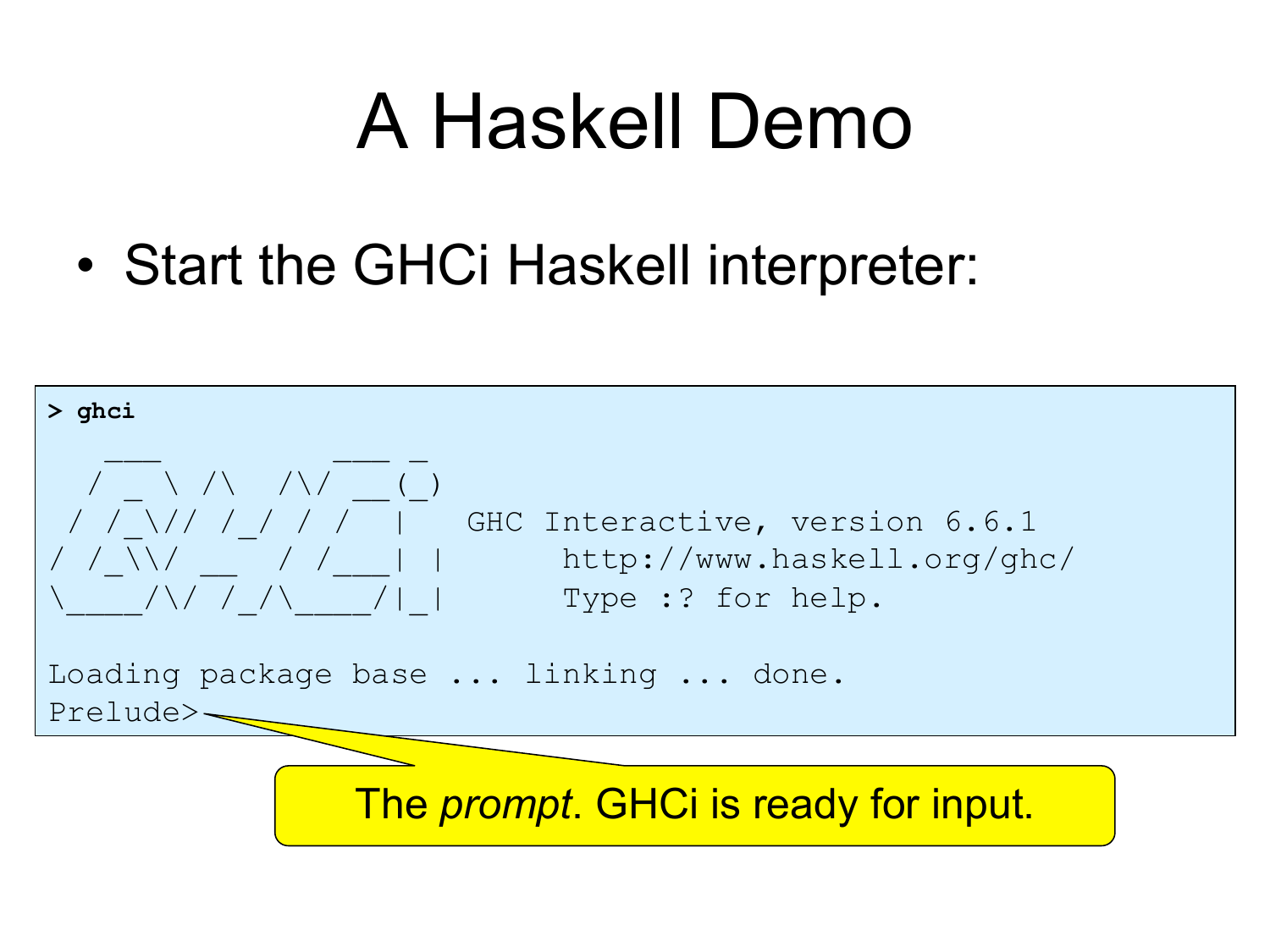#### A Haskell Demo

• Start the GHCi Haskell interpreter:

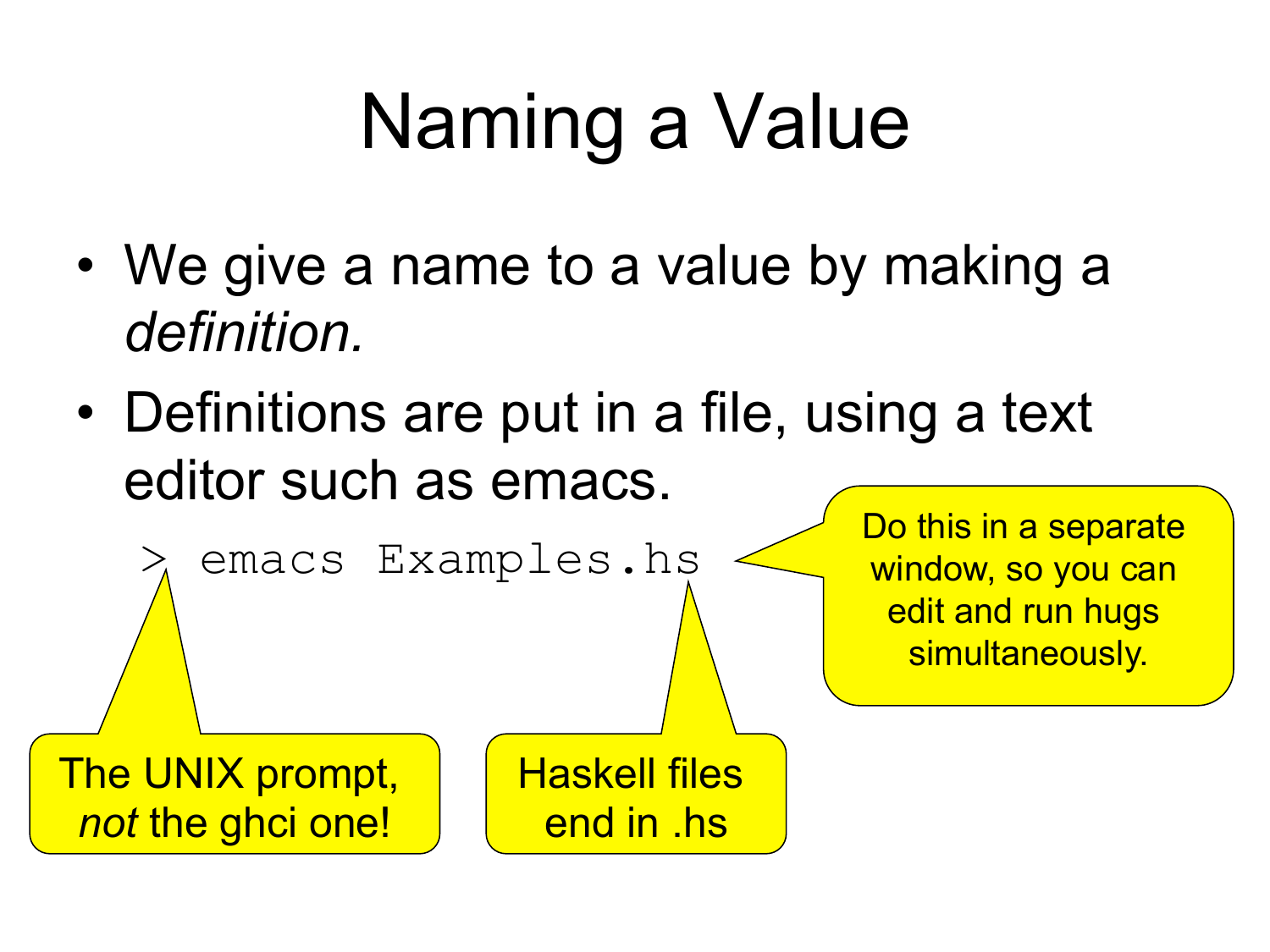# Naming a Value

- We give a name to a value by making a *definition.*
- Definitions are put in a file, using a text editor such as emacs.

> emacs Examples.hs

Do this in a separate window, so you can edit and run hugs simultaneously.

The UNIX prompt, *not* the ghci one!

Haskell files end in .hs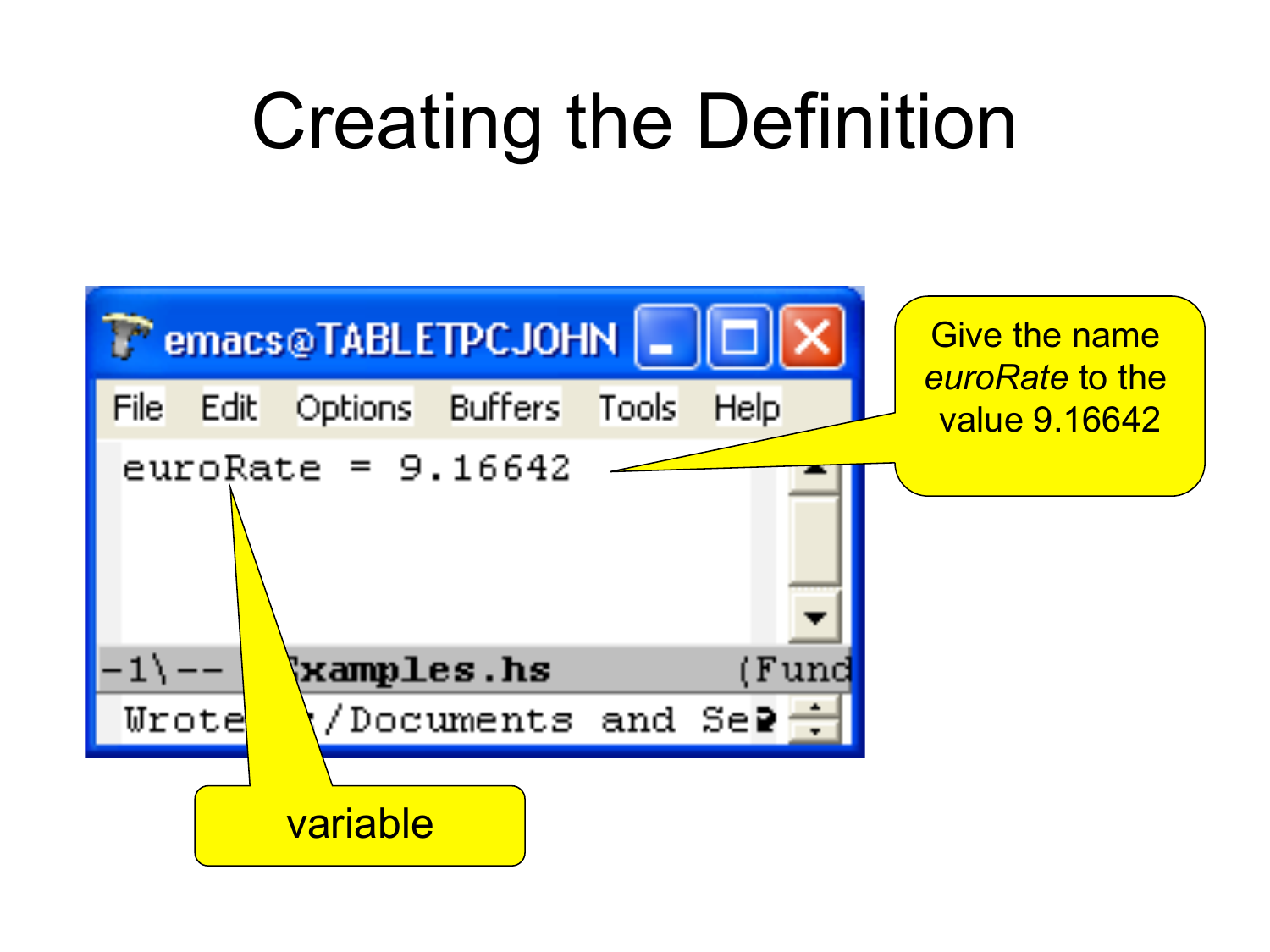#### Creating the Definition

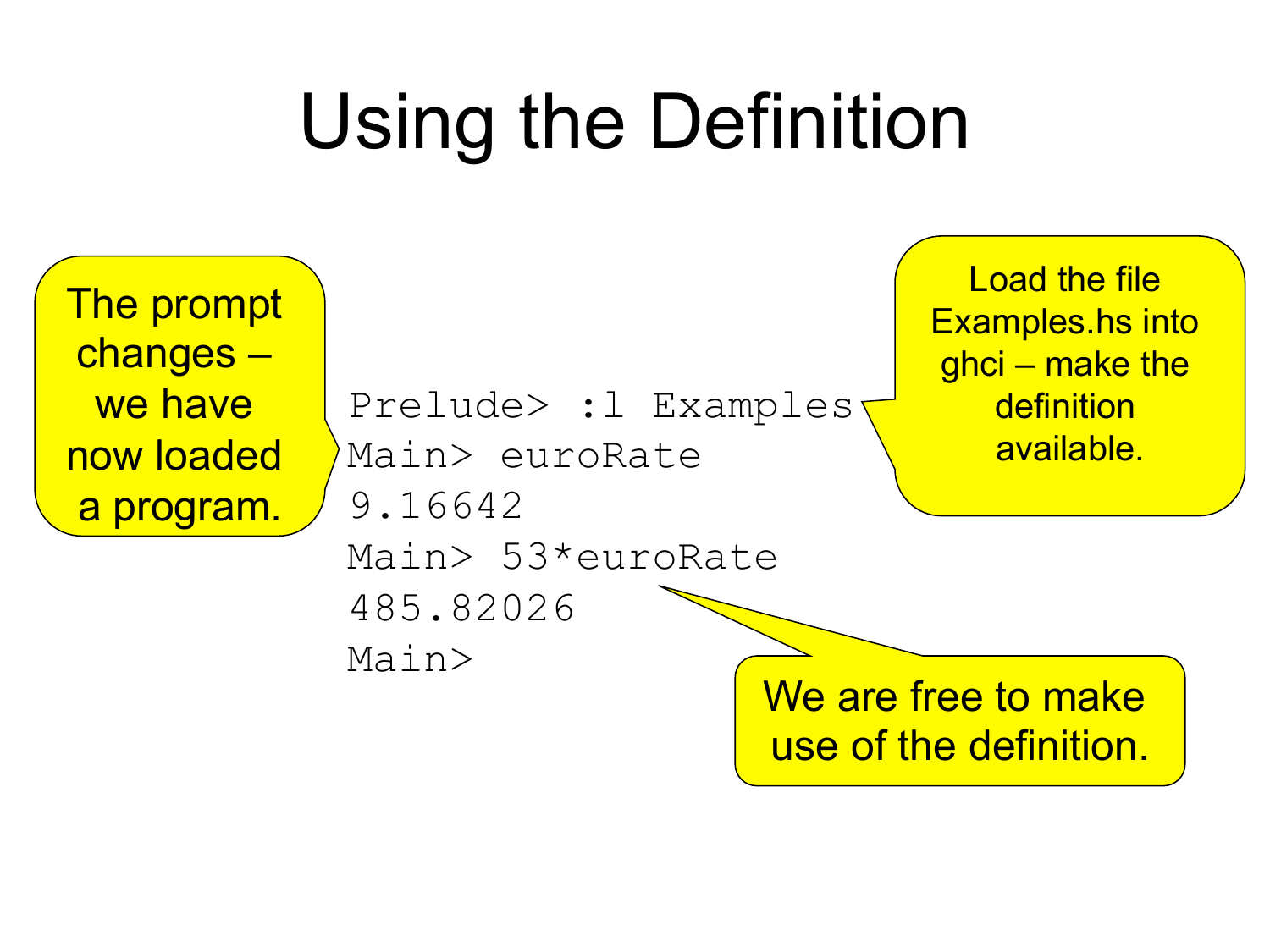# Using the Definition

The prompt changes – we have now loaded a program.

```
Prelude> :l Examples 
Main> euroRate 
9.16642 
Main> 53*euroRate 
485.82026
```
Main>

We are free to make use of the definition.

Load the file Examples.hs into ghci – make the definition available.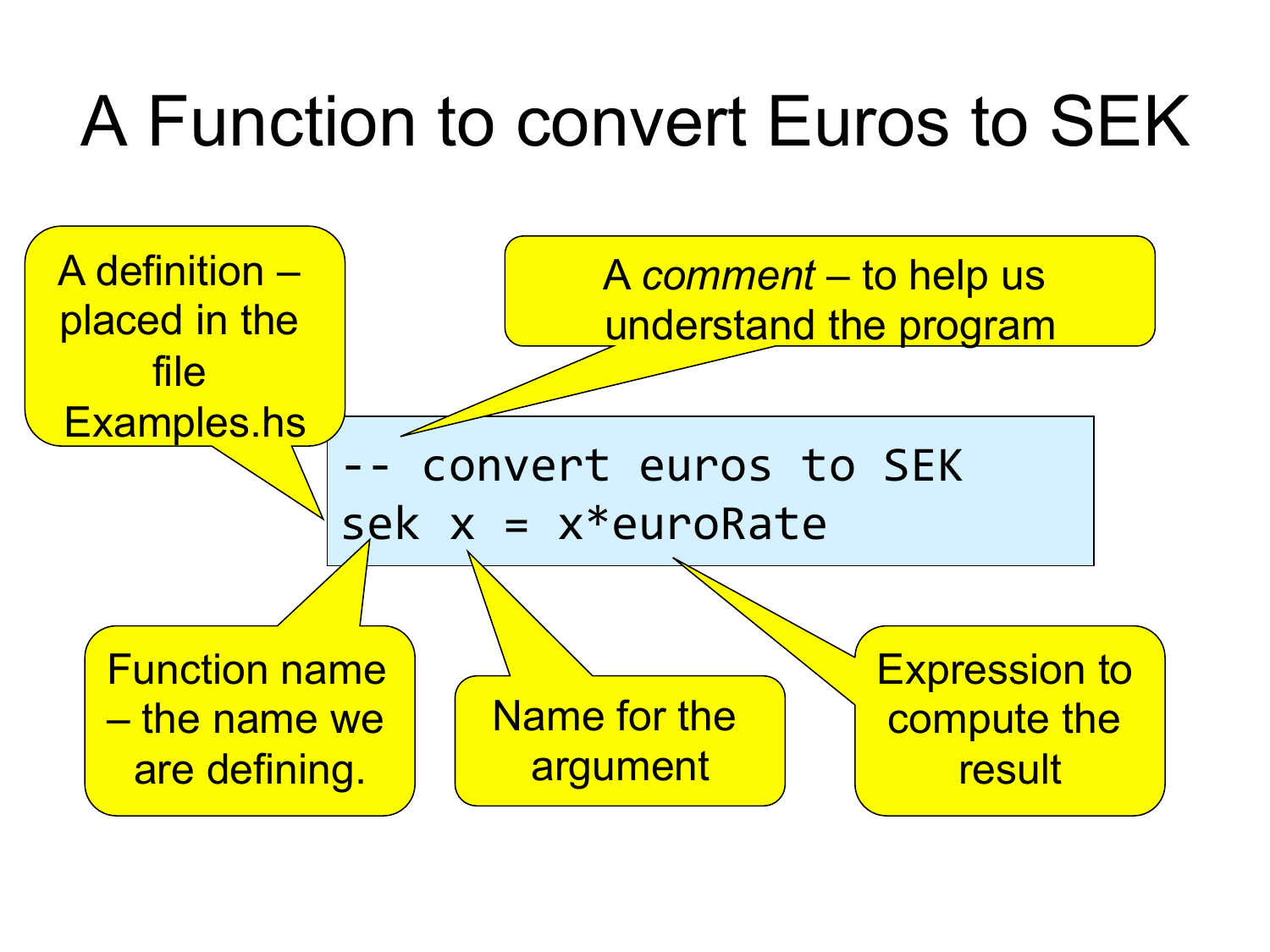#### A Function to convert Euros to SEK

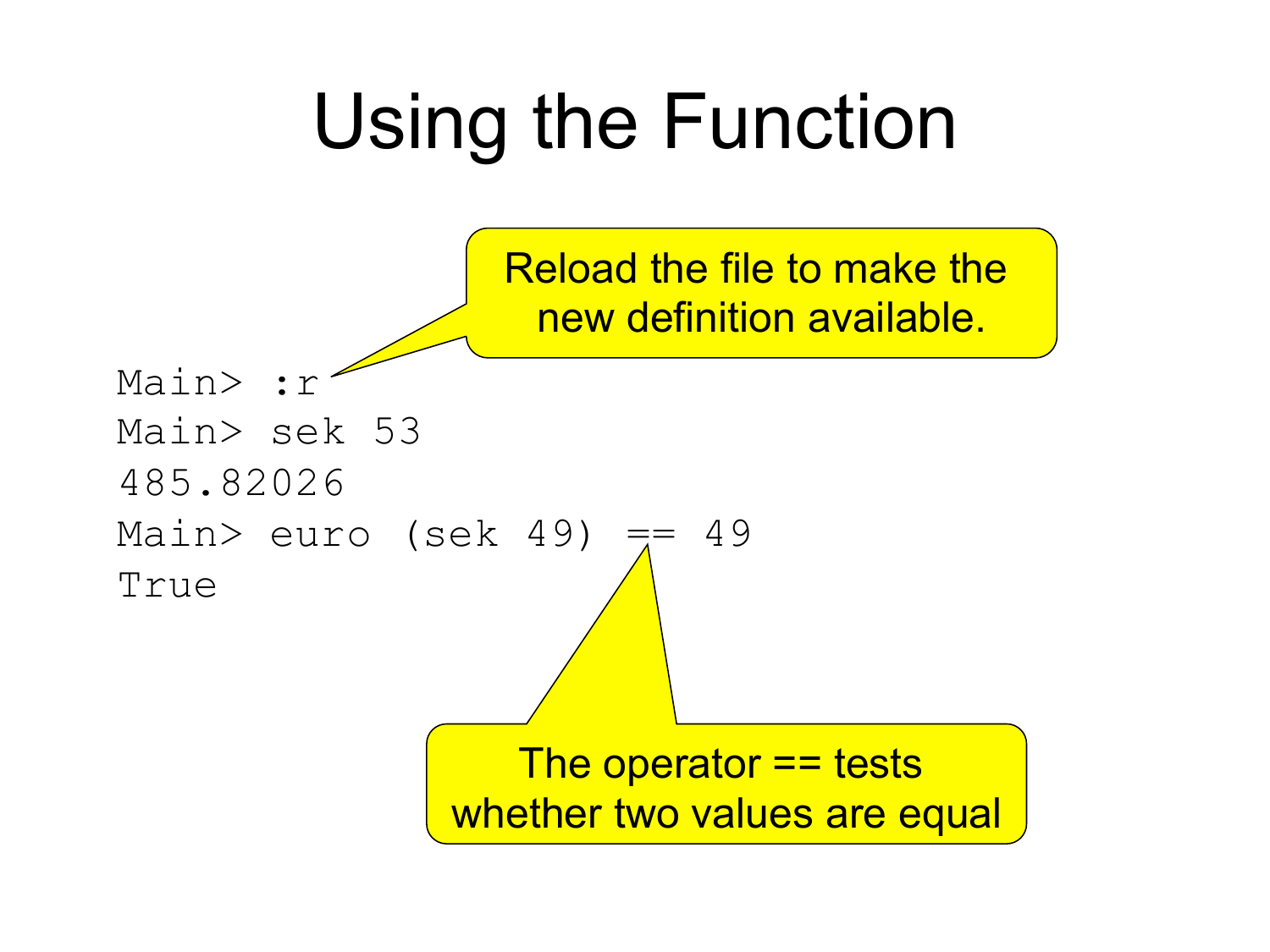#### Using the Function

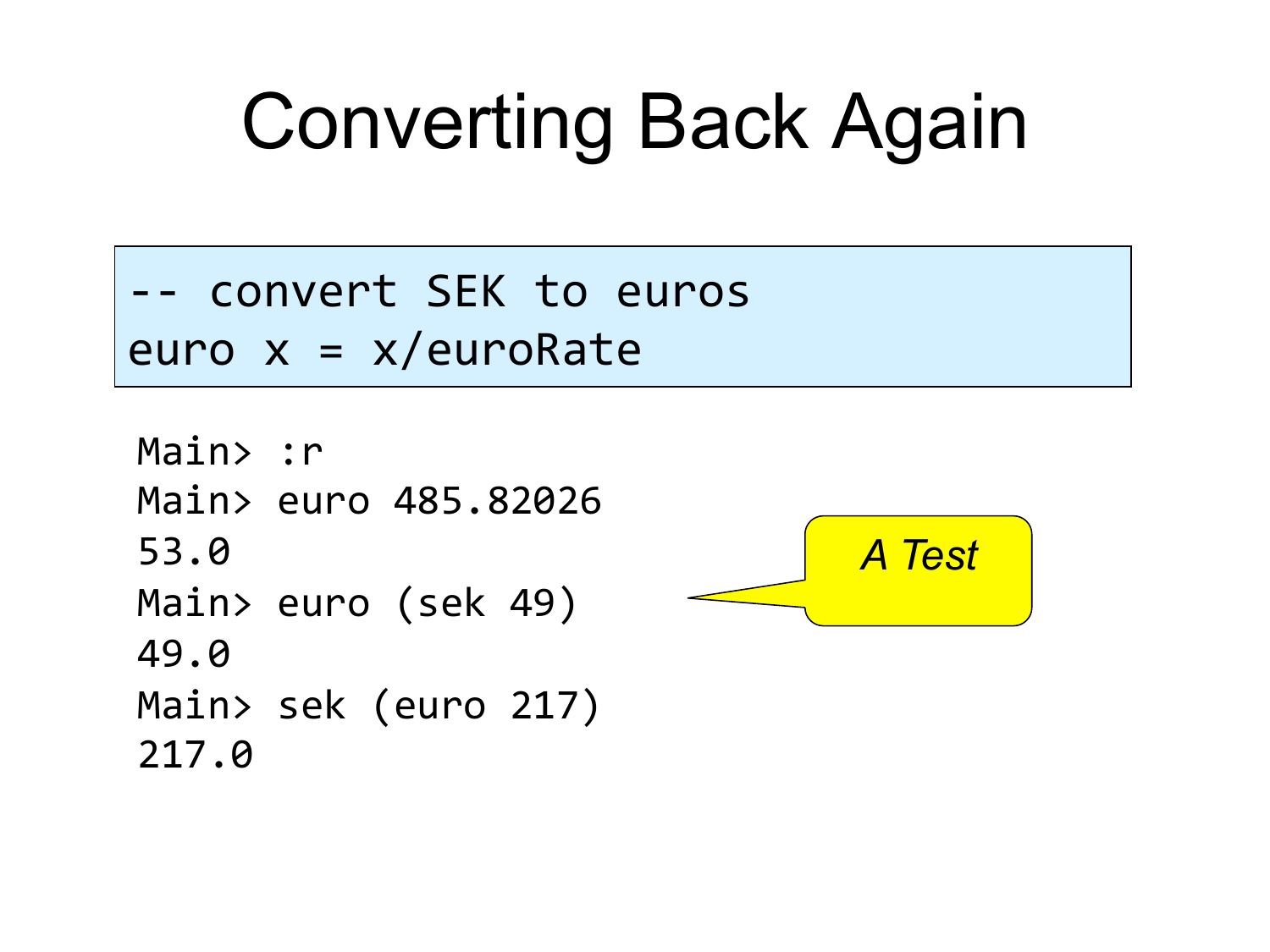### Converting Back Again

convert SEK to euros euro x = x/euroRate

```
Main> :r
Main> euro 485.82026
53.0"
Main> euro (sek 49)
49.0"
Main> sek (euro 217)
217.0"
```
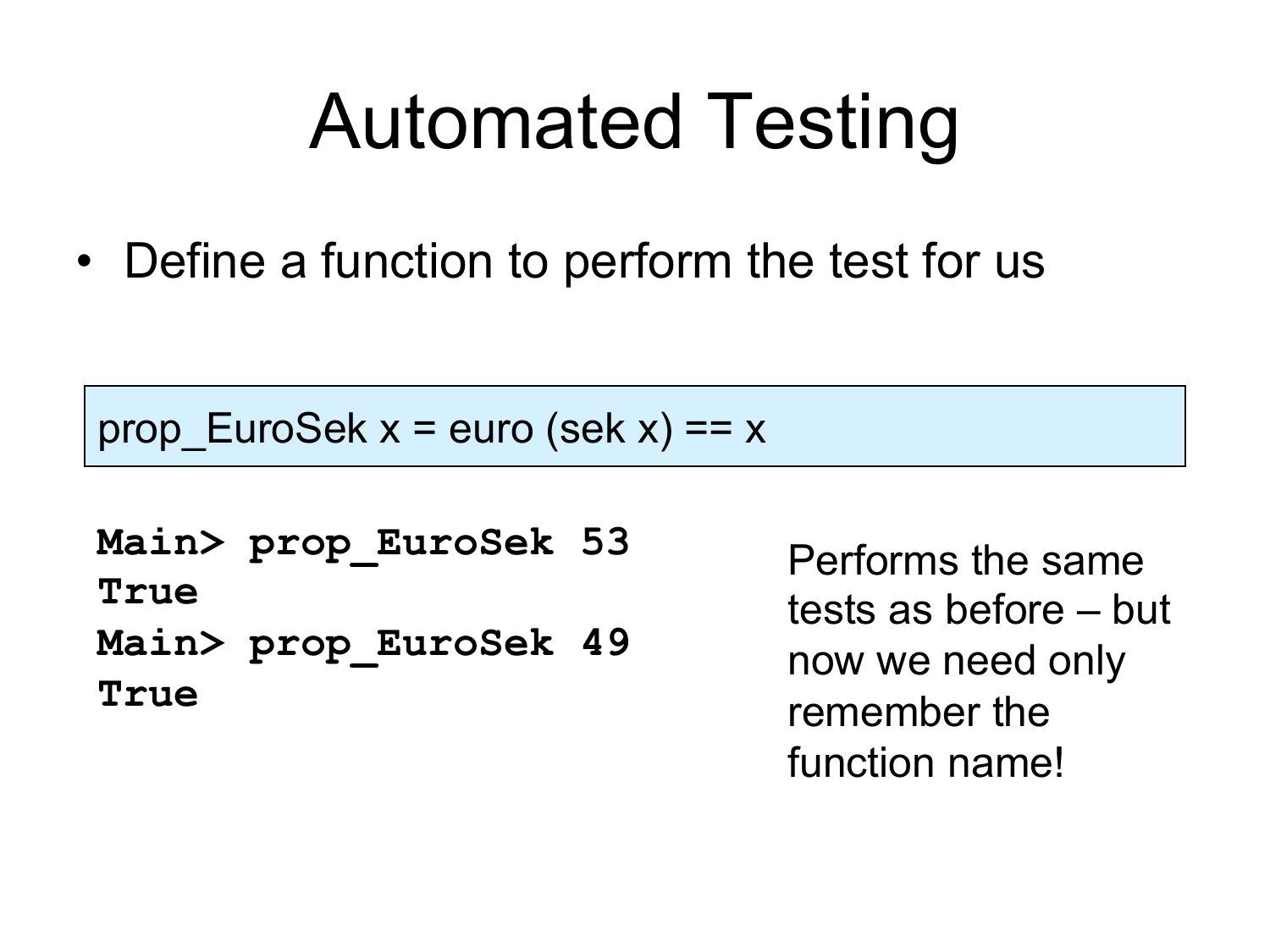#### Automated Testing

• Define a function to perform the test for us

prop EuroSek  $x =$  euro (sek  $x$ ) == x

**Main> prop\_EuroSek 53 True Main> prop\_EuroSek 49 True** 

Performs the same tests as before – but now we need only remember the function name!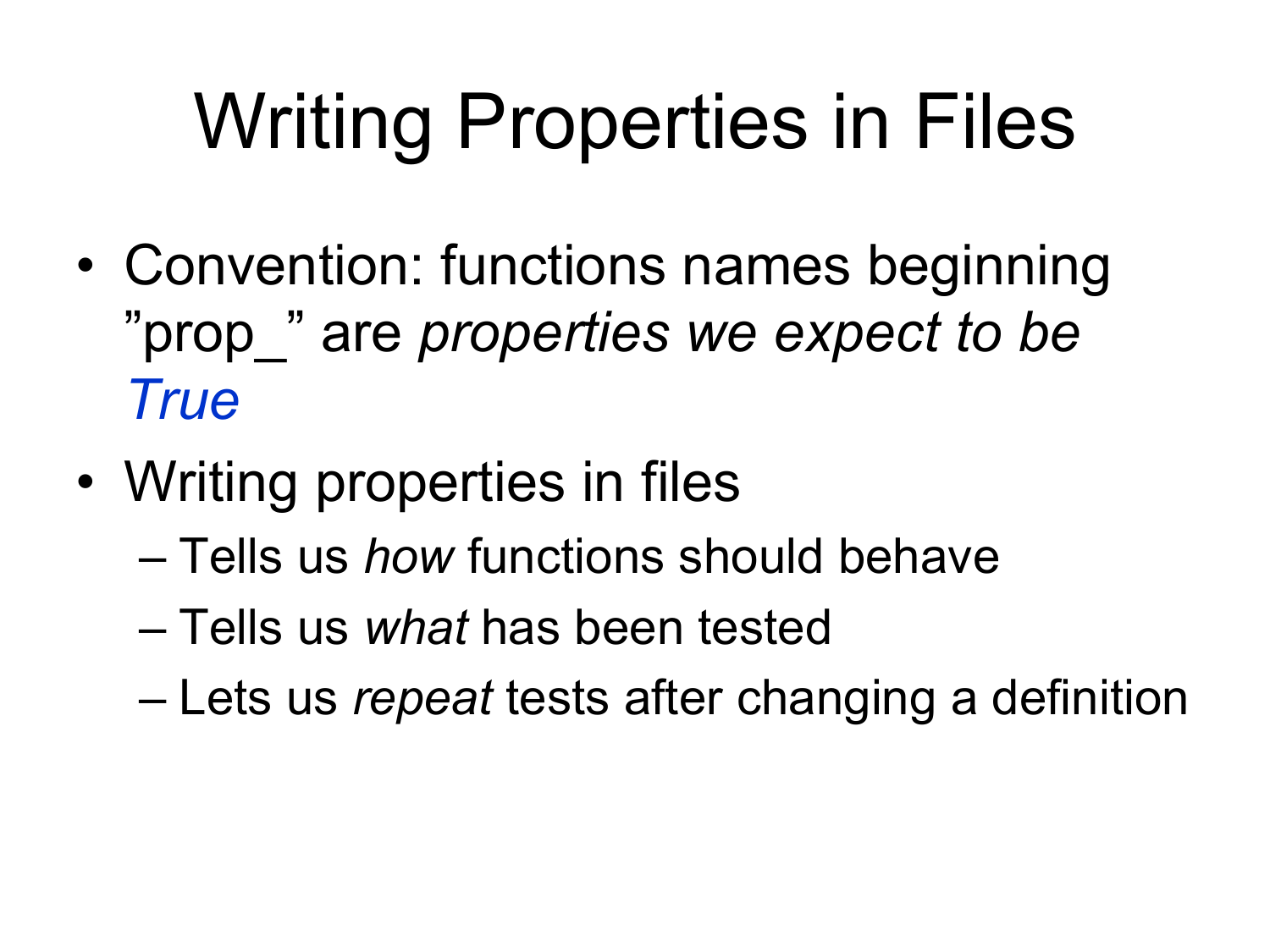# Writing Properties in Files

- Convention: functions names beginning "prop\_" are *properties we expect to be True*
- Writing properties in files
	- Tells us *how* functions should behave
	- Tells us *what* has been tested
	- Lets us *repeat* tests after changing a definition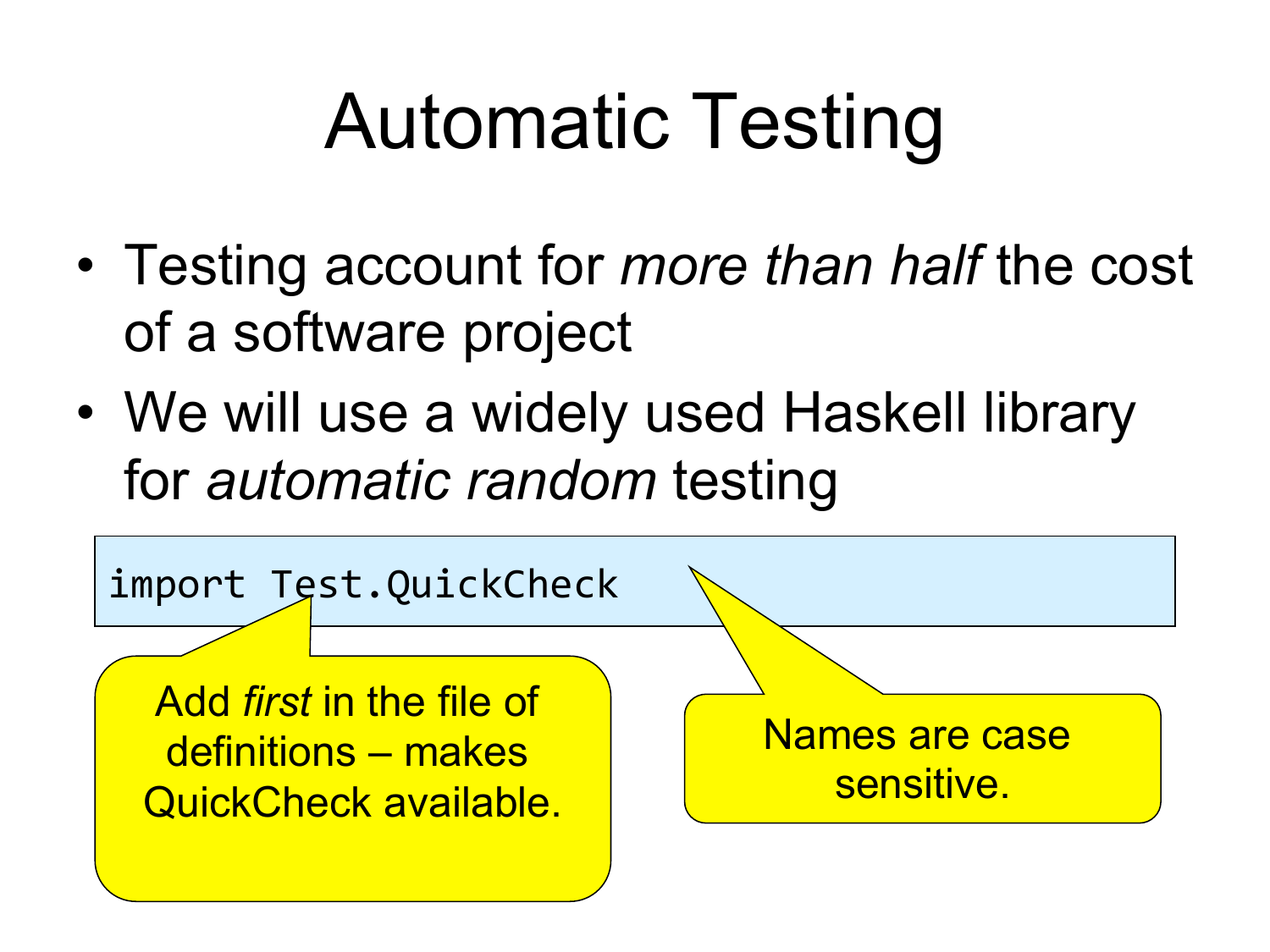# Automatic Testing

- Testing account for *more than half* the cost of a software project
- We will use a widely used Haskell library for *automatic random* testing

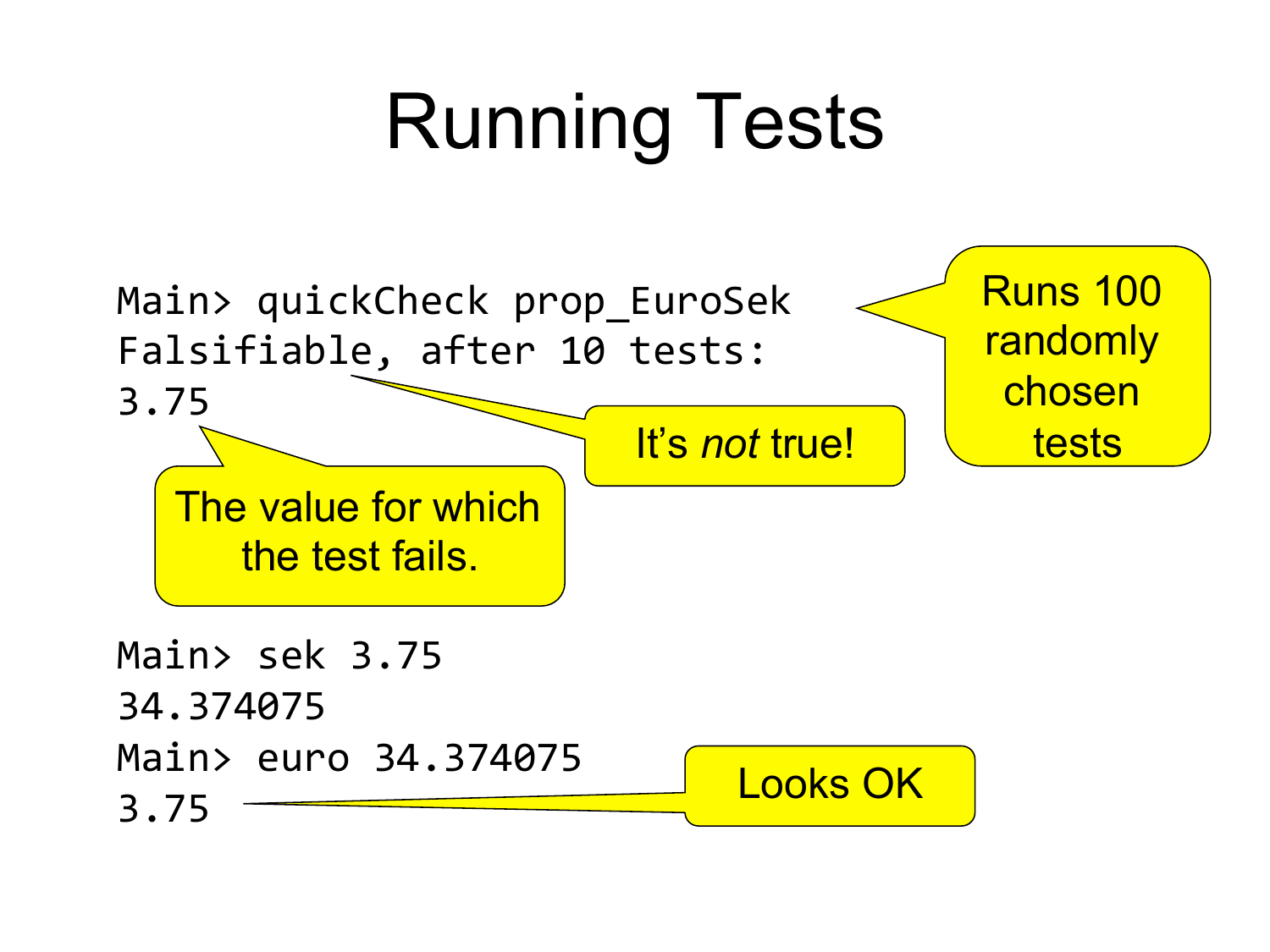# Running Tests

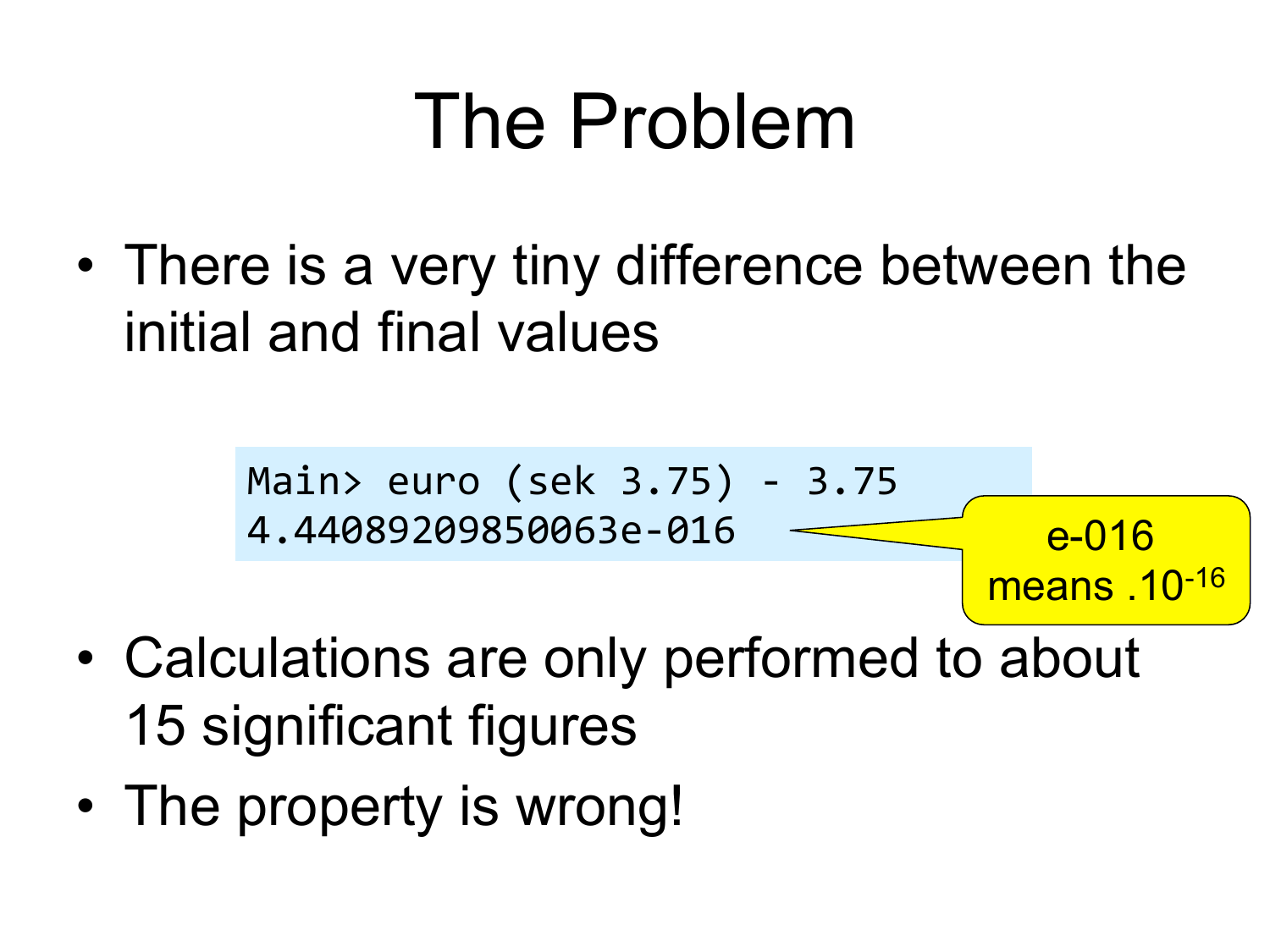#### The Problem

• There is a very tiny difference between the initial and final values

Main>"euro"(sek"3.75)"!"3.75" 4.44089209850063e!016" e-016 means .10-16

- Calculations are only performed to about 15 significant figures
- The property is wrong!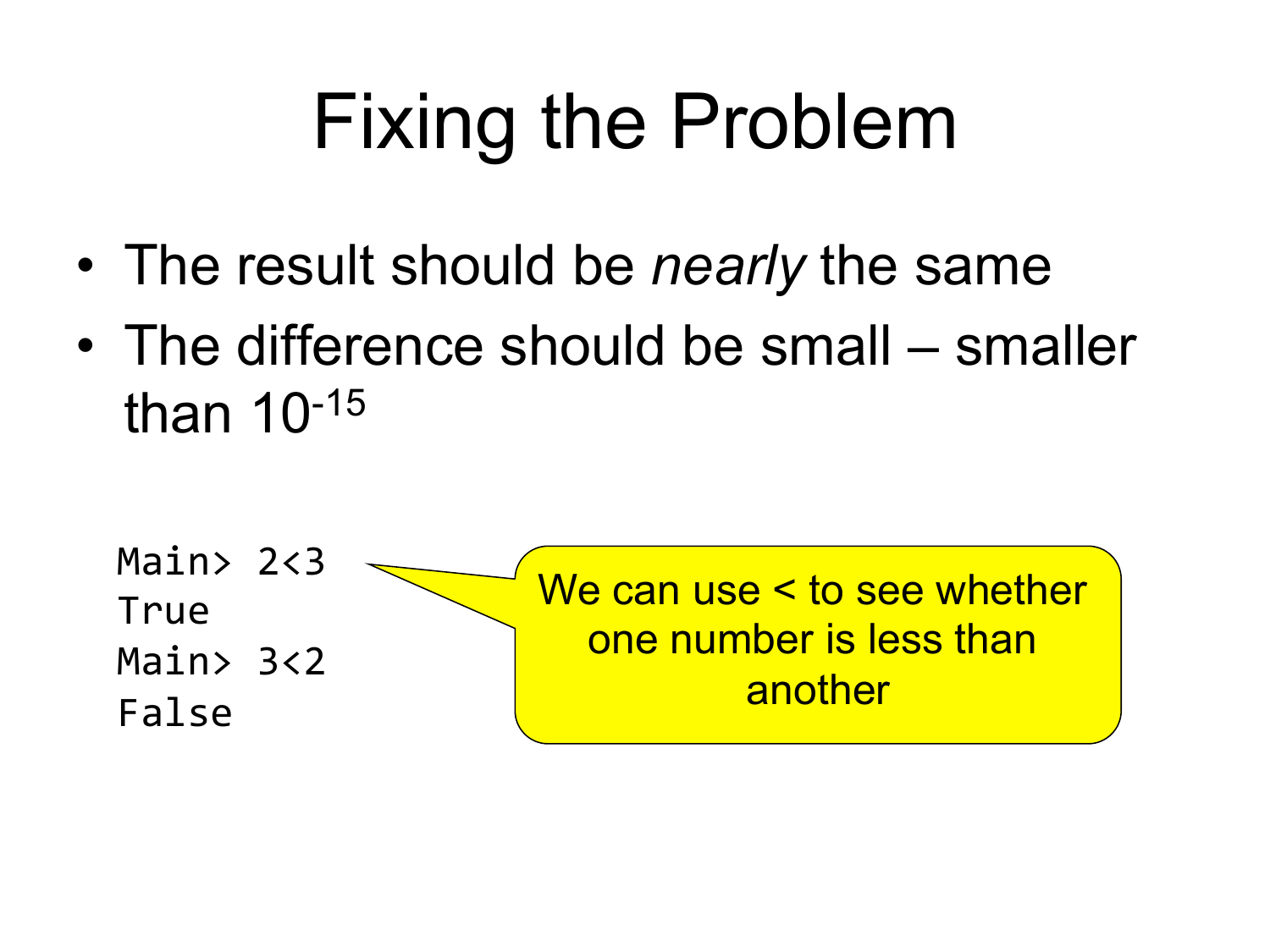# Fixing the Problem

- The result should be *nearly* the same
- The difference should be small smaller than 10-15

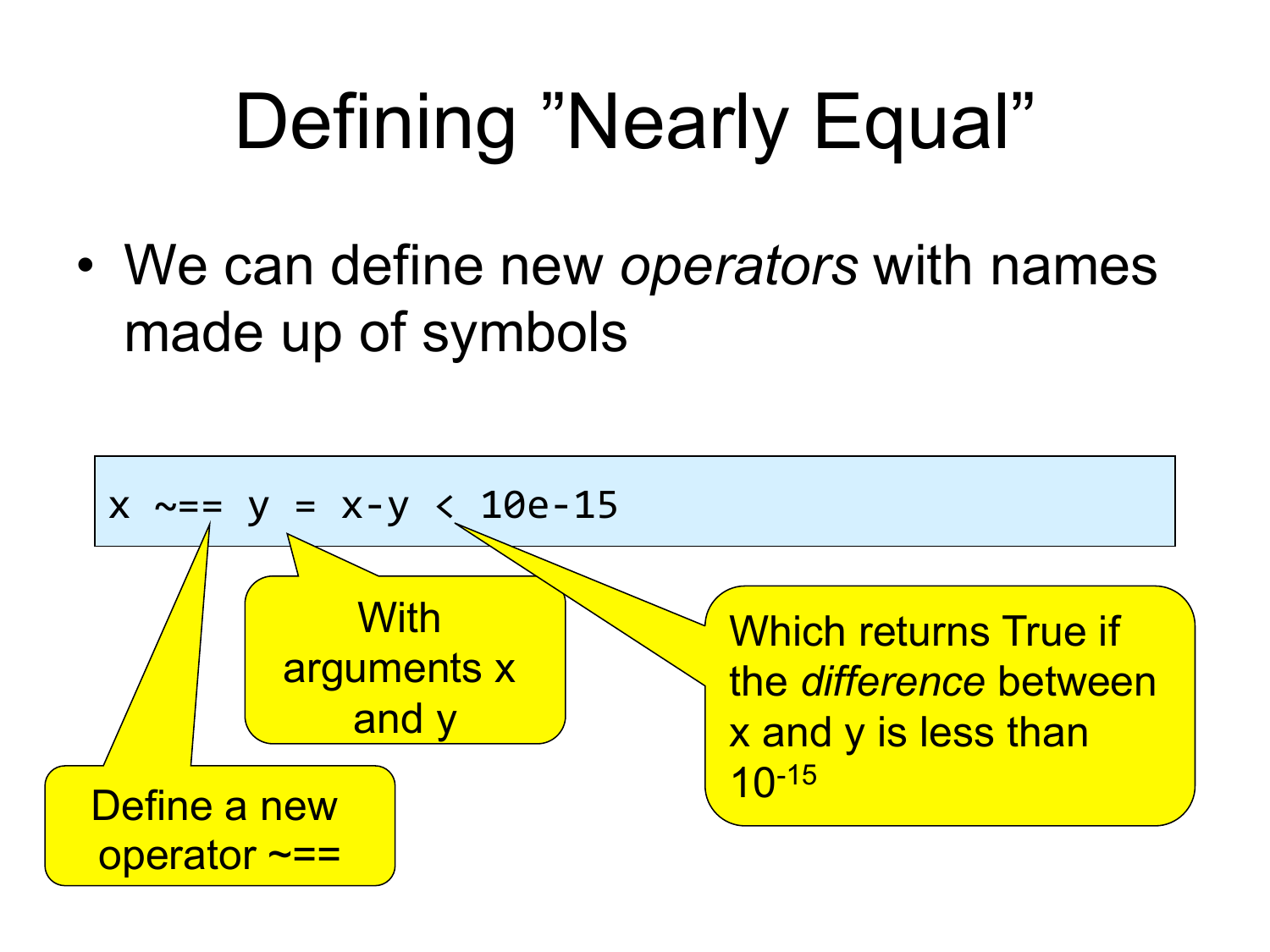# Defining "Nearly Equal"

• We can define new *operators* with names made up of symbols

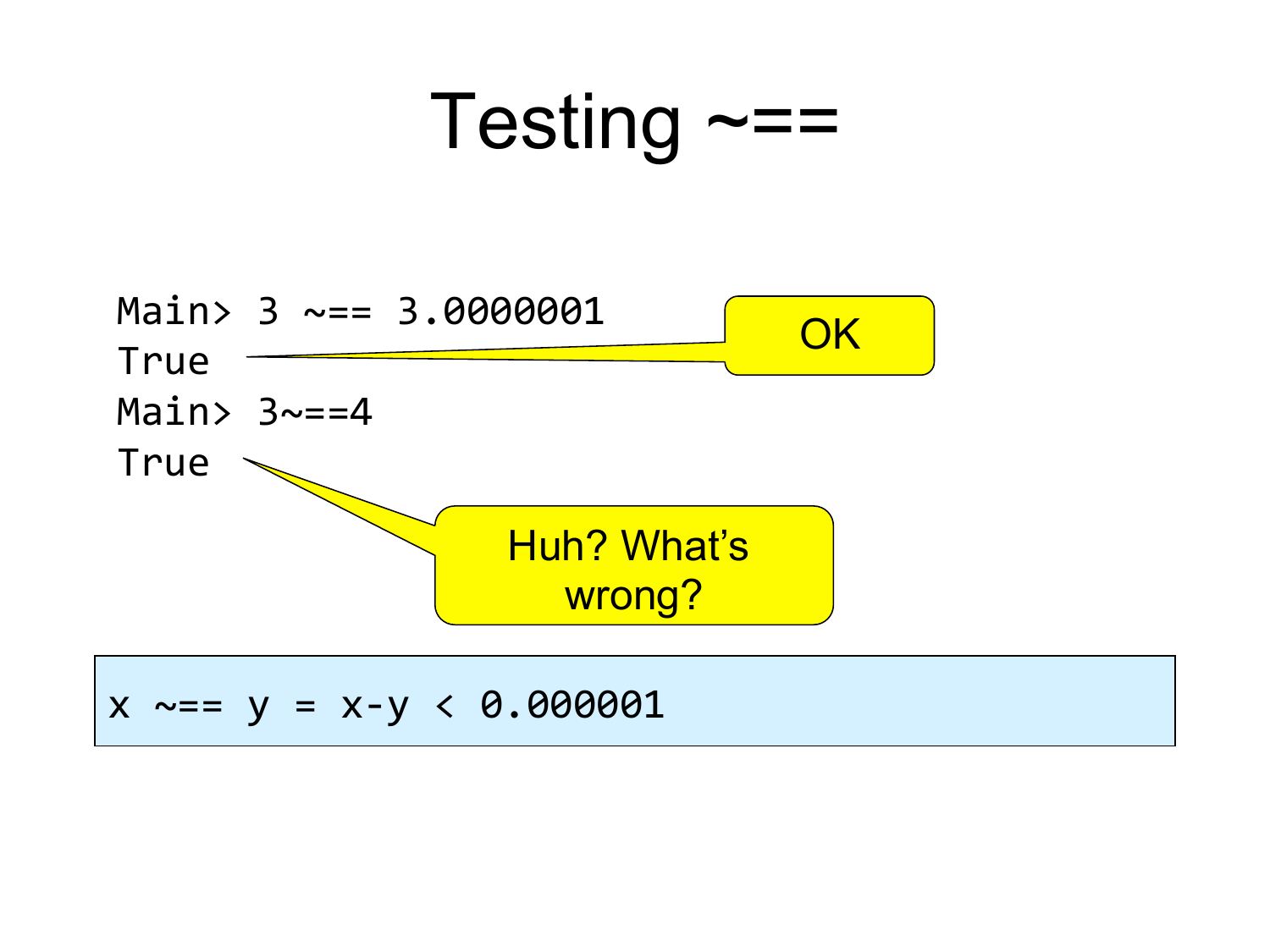



 $x \sim = y = x-y < 0.000001$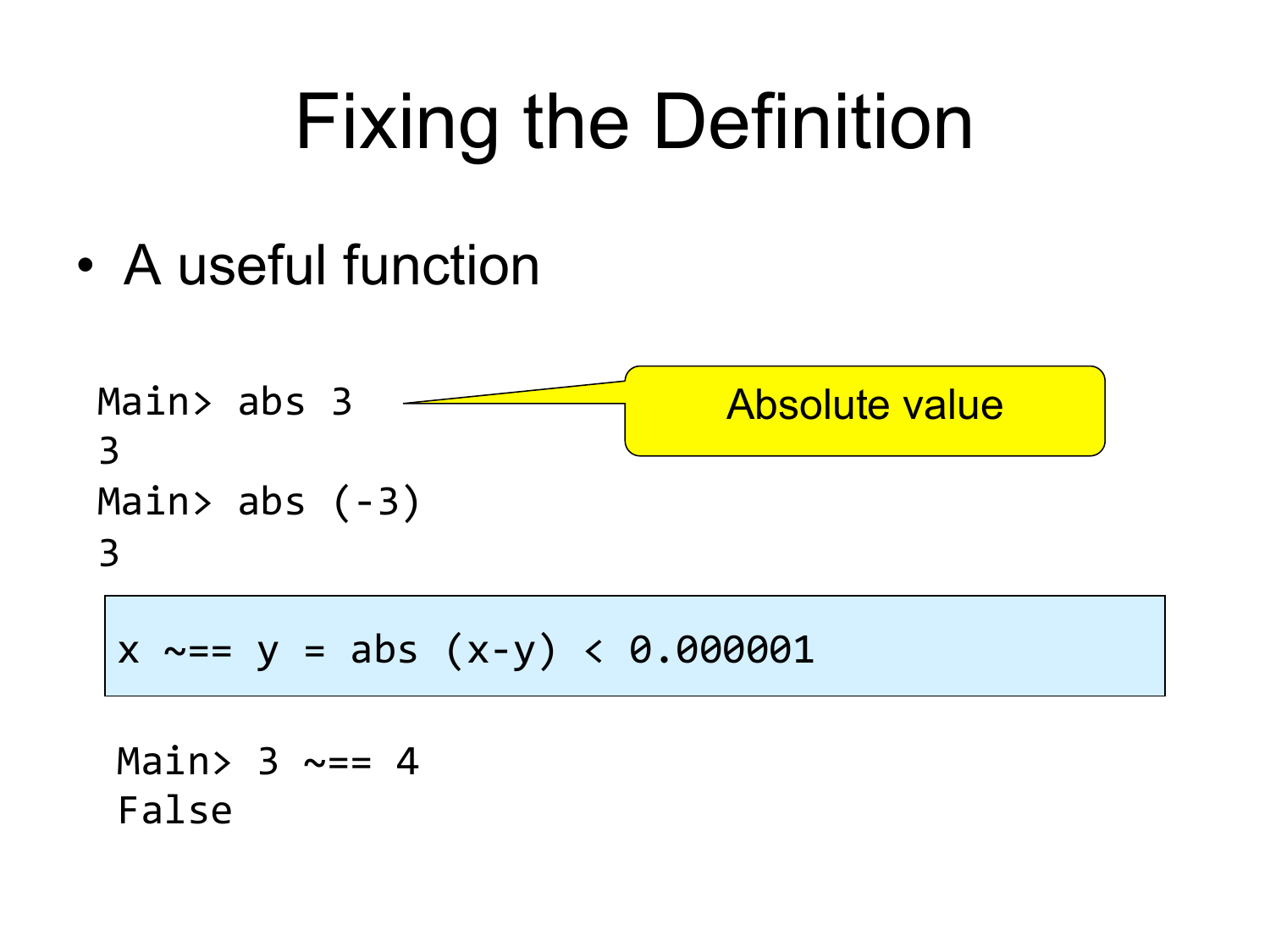# Fixing the Definition

• A useful function

Main> abs 3 3" Main> abs  $(-3)$ 3 Absolute value

 $x \sim = y = abs (x-y) < 0.000001$ 

Main>  $3 \sim = 4$ False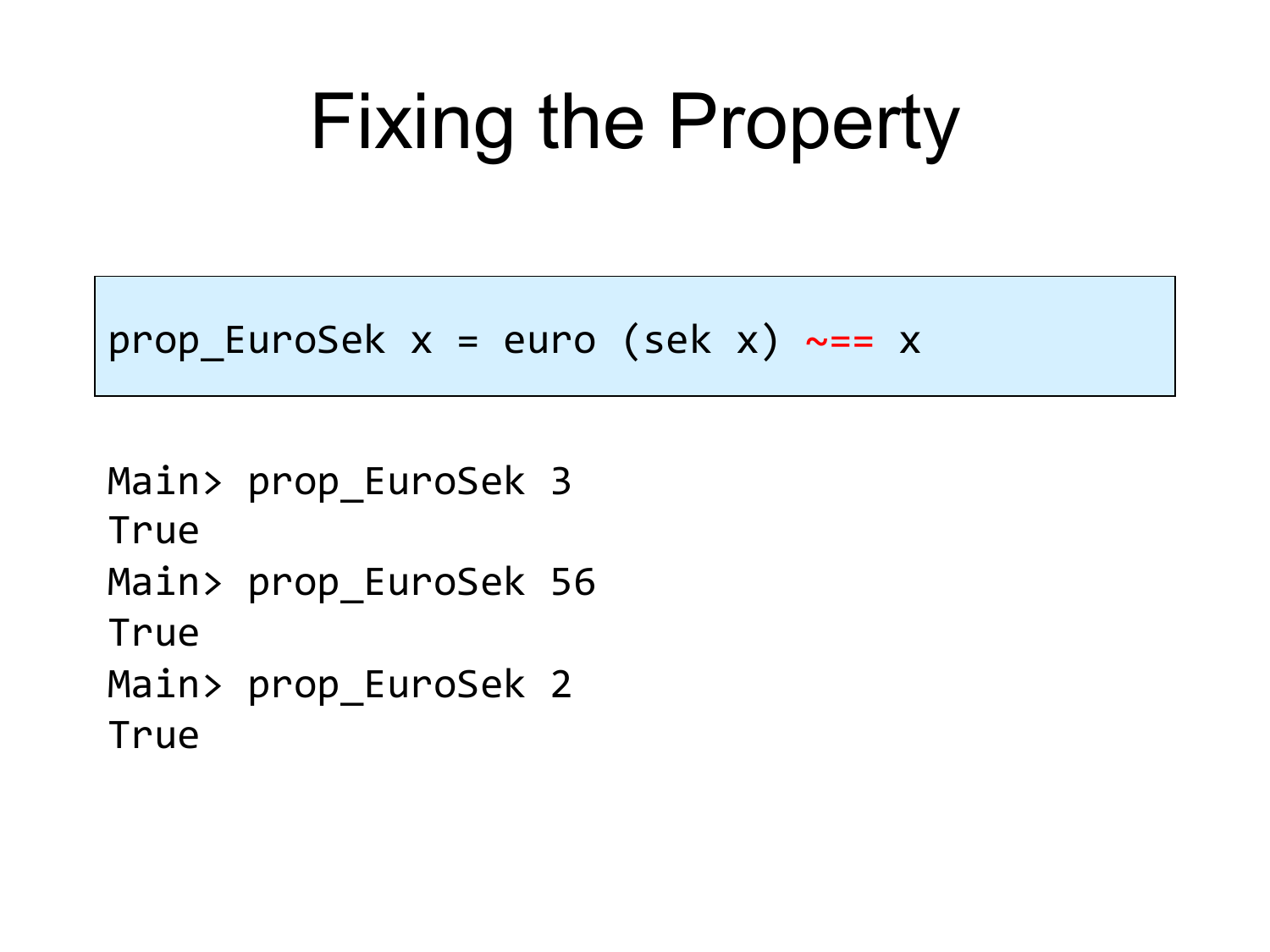#### Fixing the Property

```
prop EuroSek x = euro (sek x) ~== x
```
Main> prop EuroSek 3 True"" Main> prop\_EuroSek 56 **True** Main> prop\_EuroSek 2 **True**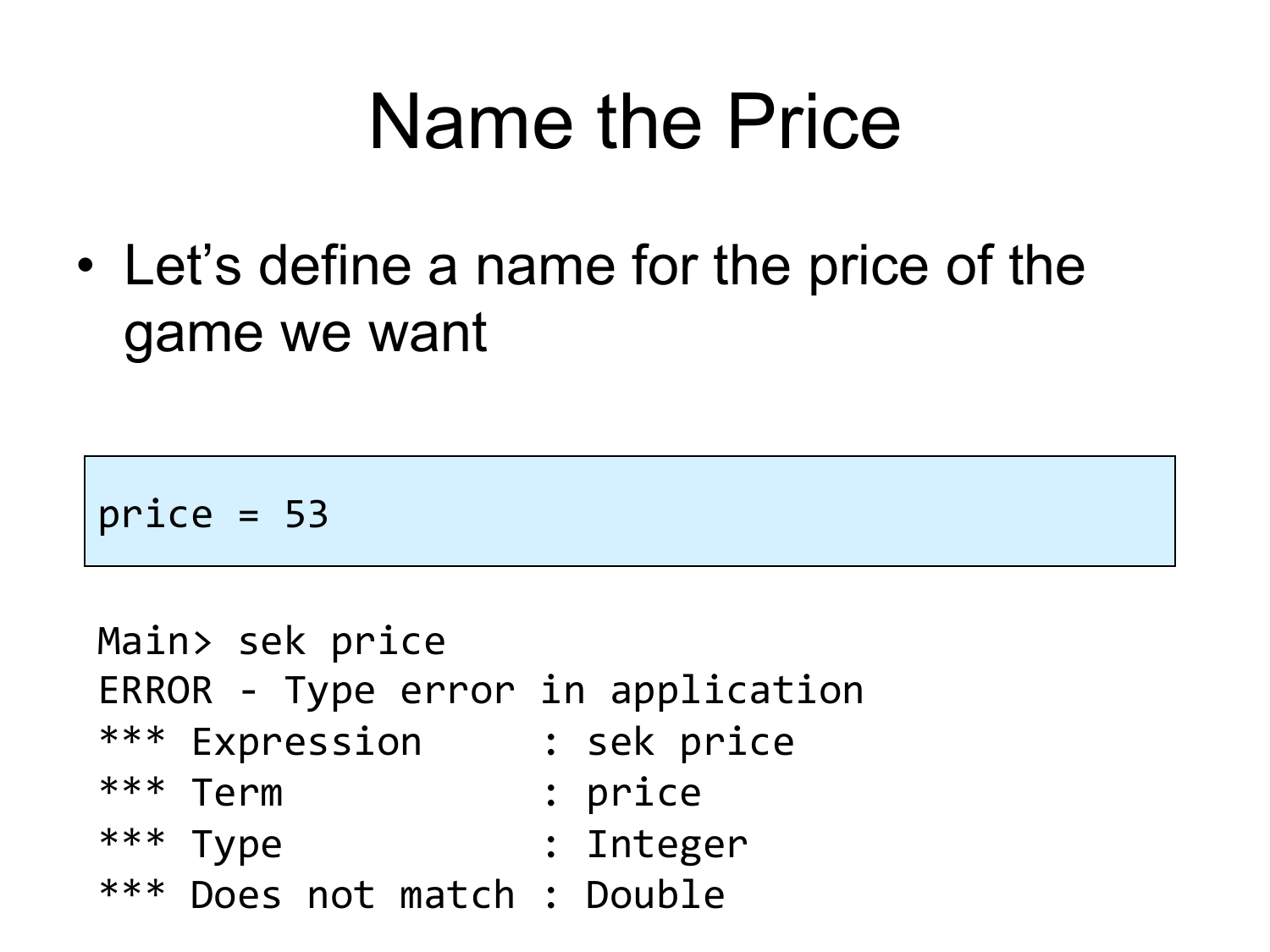#### Name the Price

• Let's define a name for the price of the game we want

 $price = 53$ 

Main> sek price ERROR - Type error in application \*\*\* Expression : sek price \*\*\* Term : price \*\*\* Type : Integer \*\*\* Does not match : Double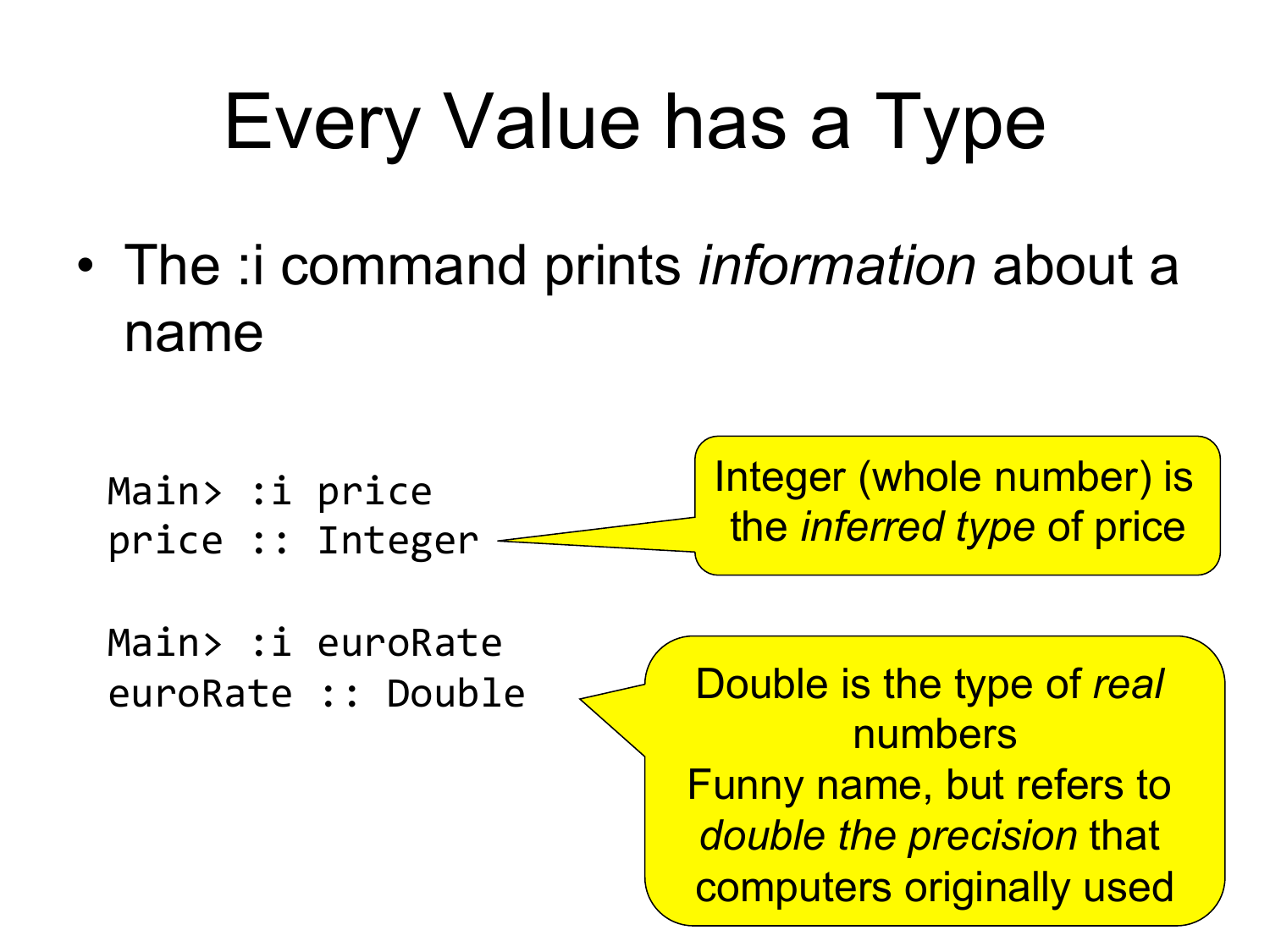# Every Value has a Type

• The :i command prints *information* about a name

Main> :i price price :: Integer Integer (whole number) is the *inferred type* of price

Main> :i euroRate euroRate :: Double

Double is the type of *real* numbers Funny name, but refers to *double the precision* that computers originally used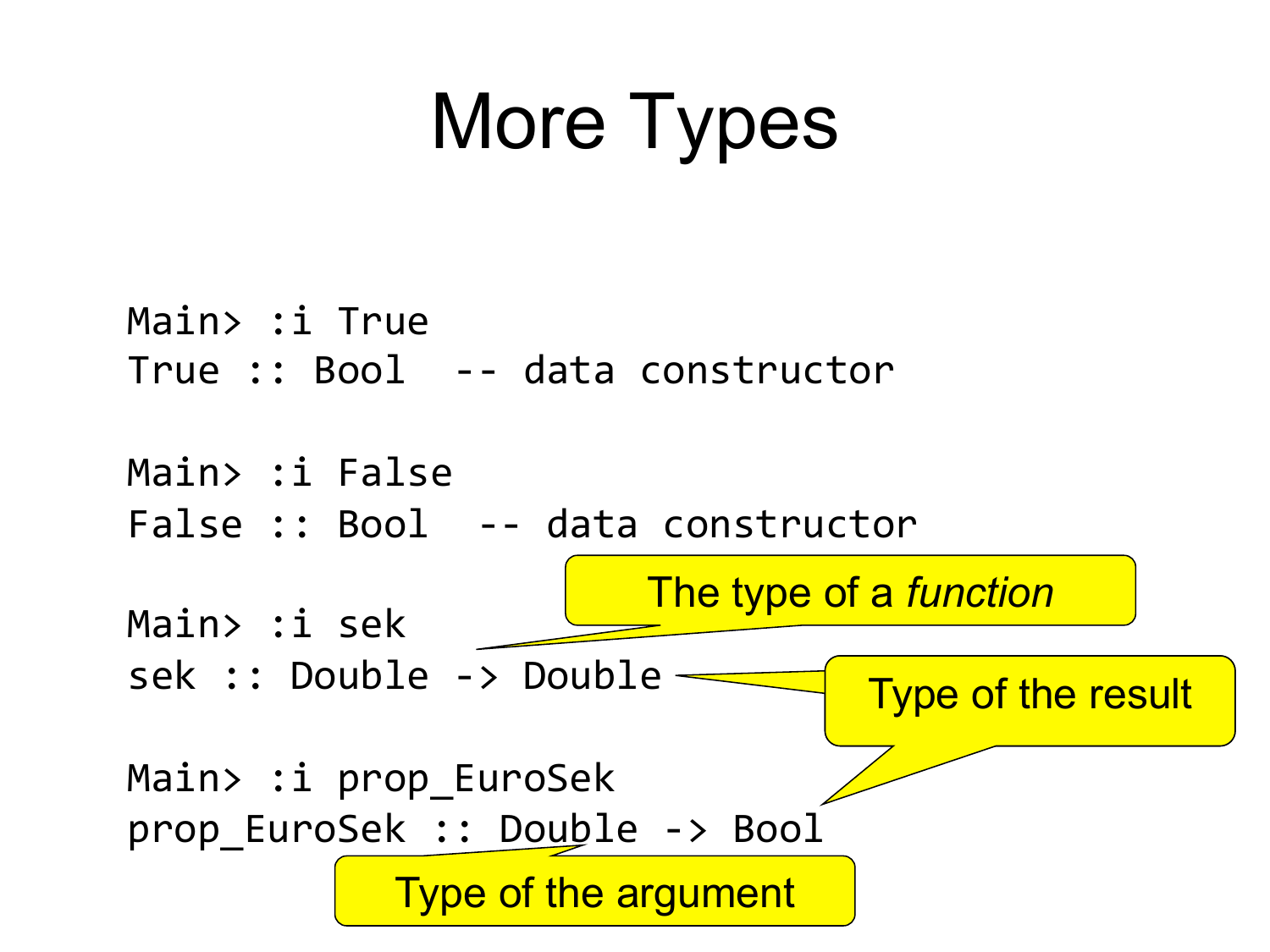### More Types

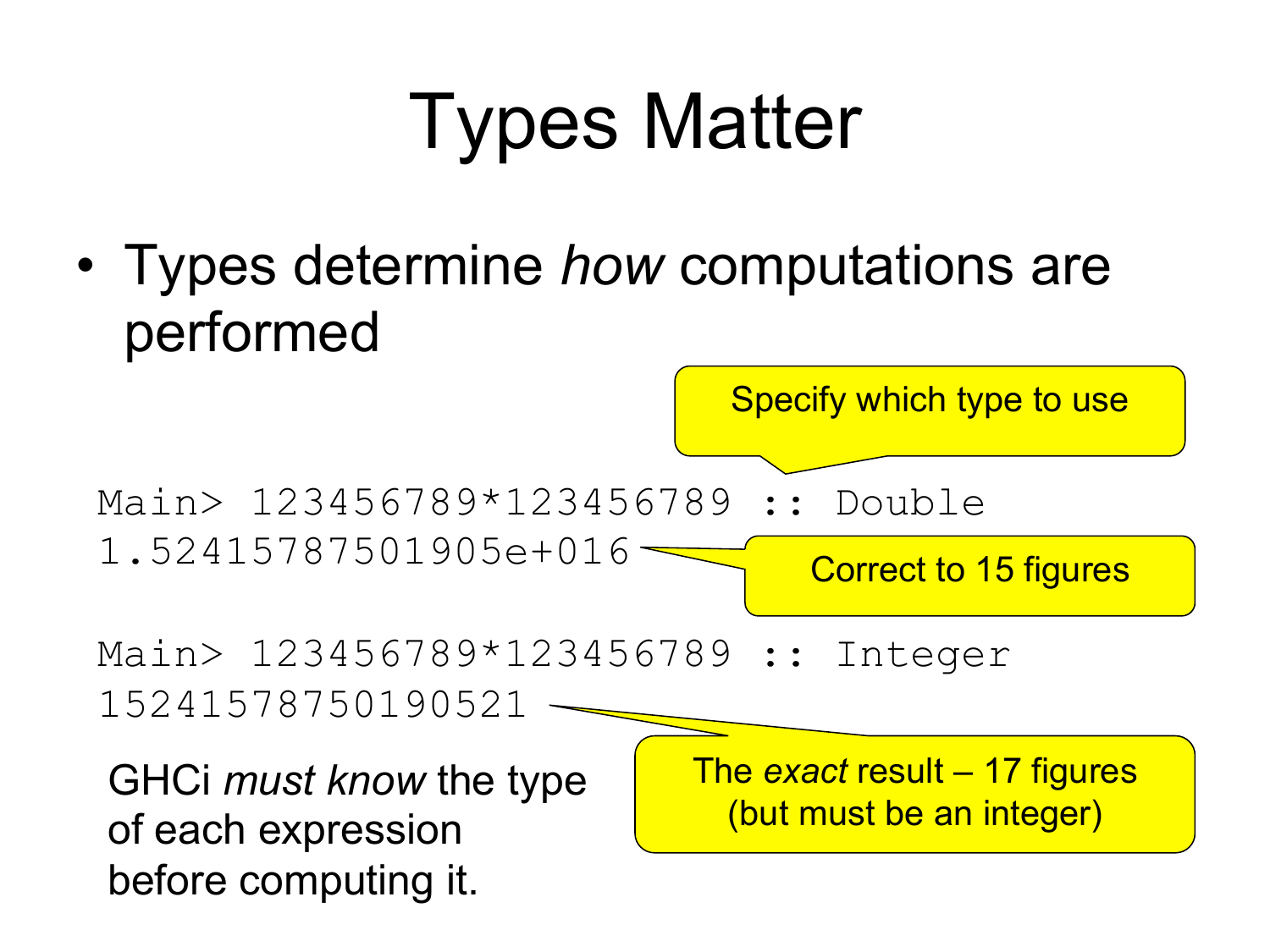# Types Matter

• Types determine *how* computations are performed

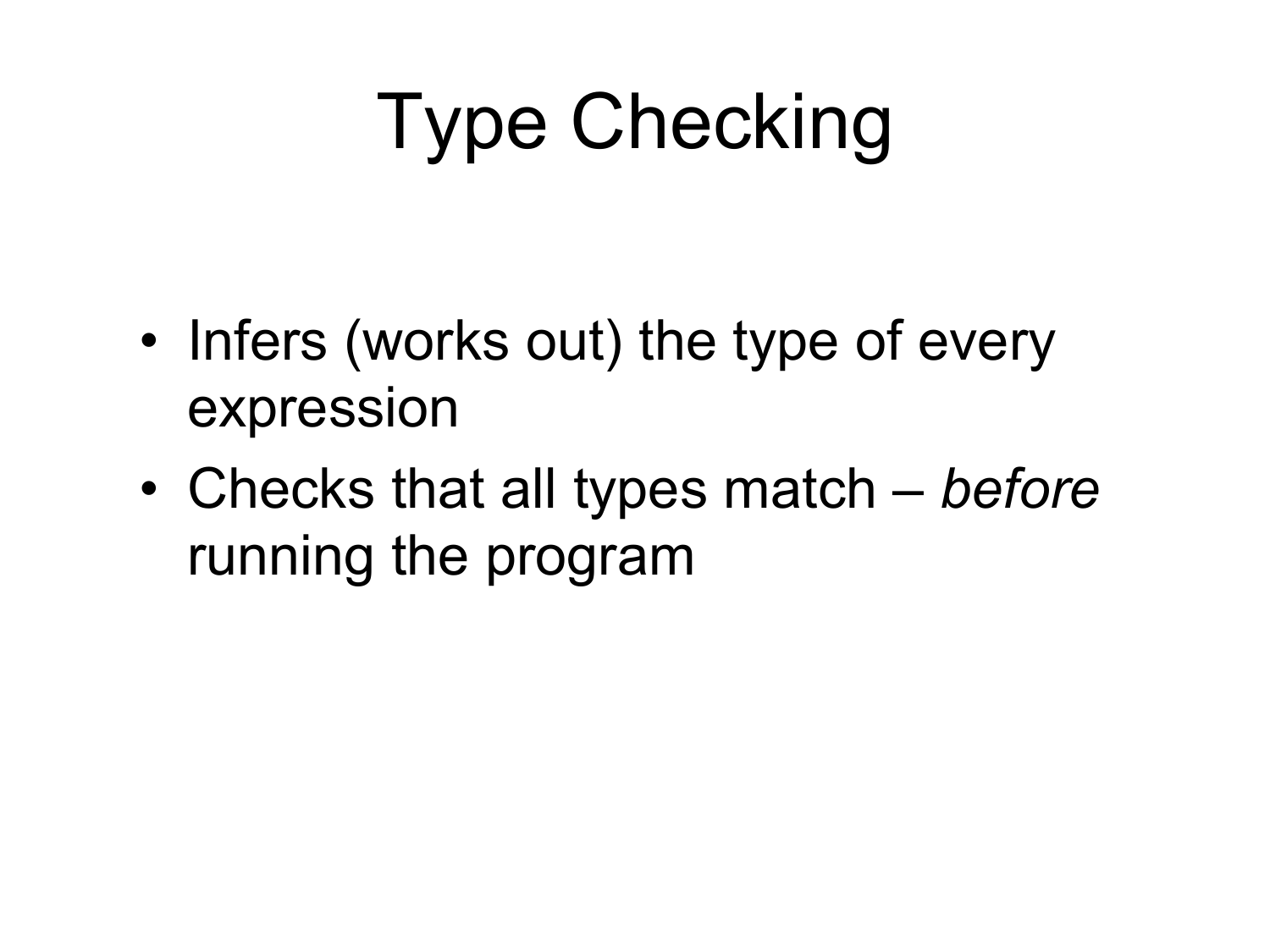# Type Checking

- Infers (works out) the type of every expression
- Checks that all types match *before* running the program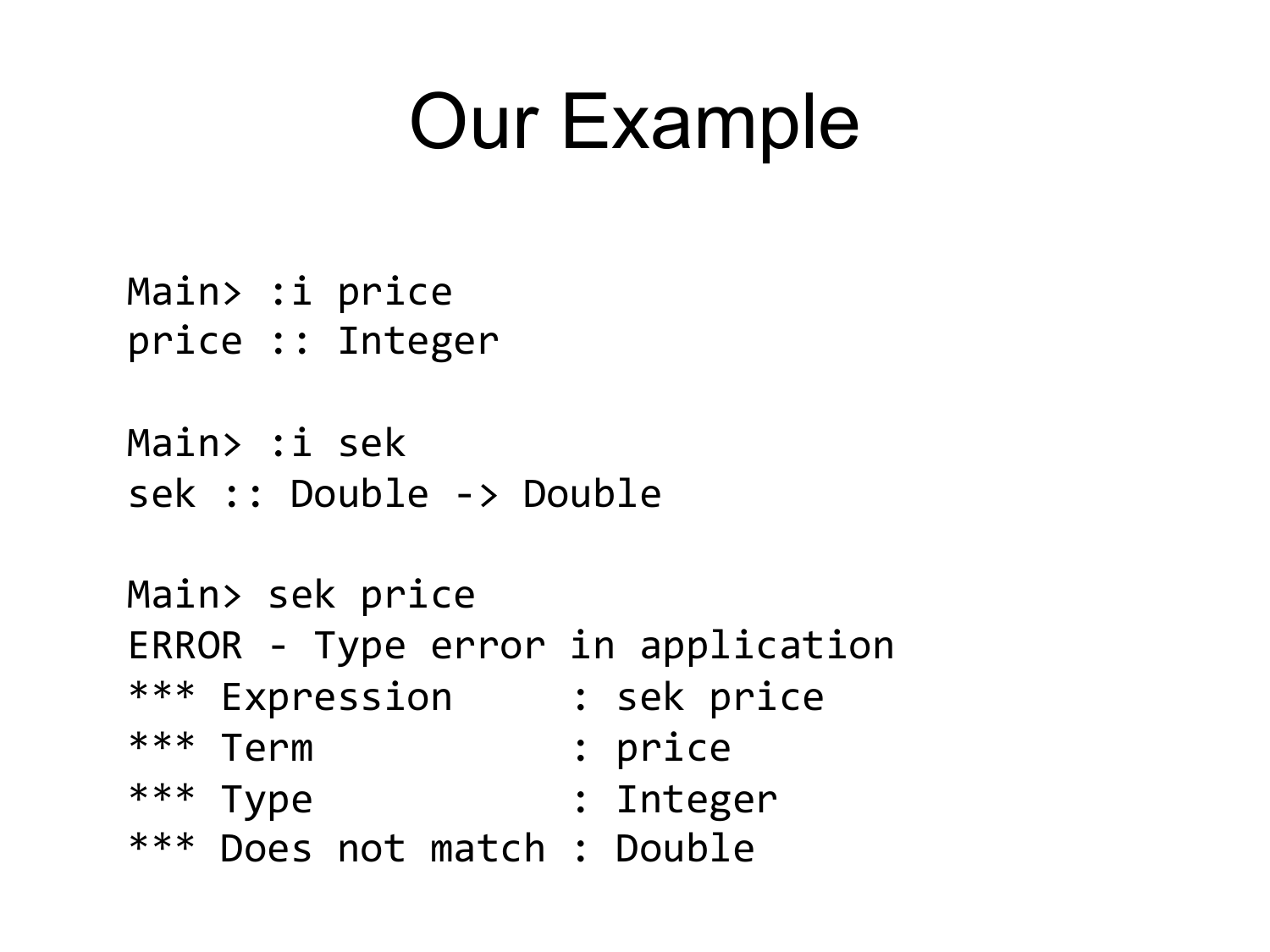#### Our Example

Main> :i price price :: Integer

Main> :i sek sek :: Double -> Double

Main> sek price ERROR - Type error in application \*\*\* Expression : sek price \*\*\* Term : price \*\*\* Type : Integer \*\*\* Does not match : Double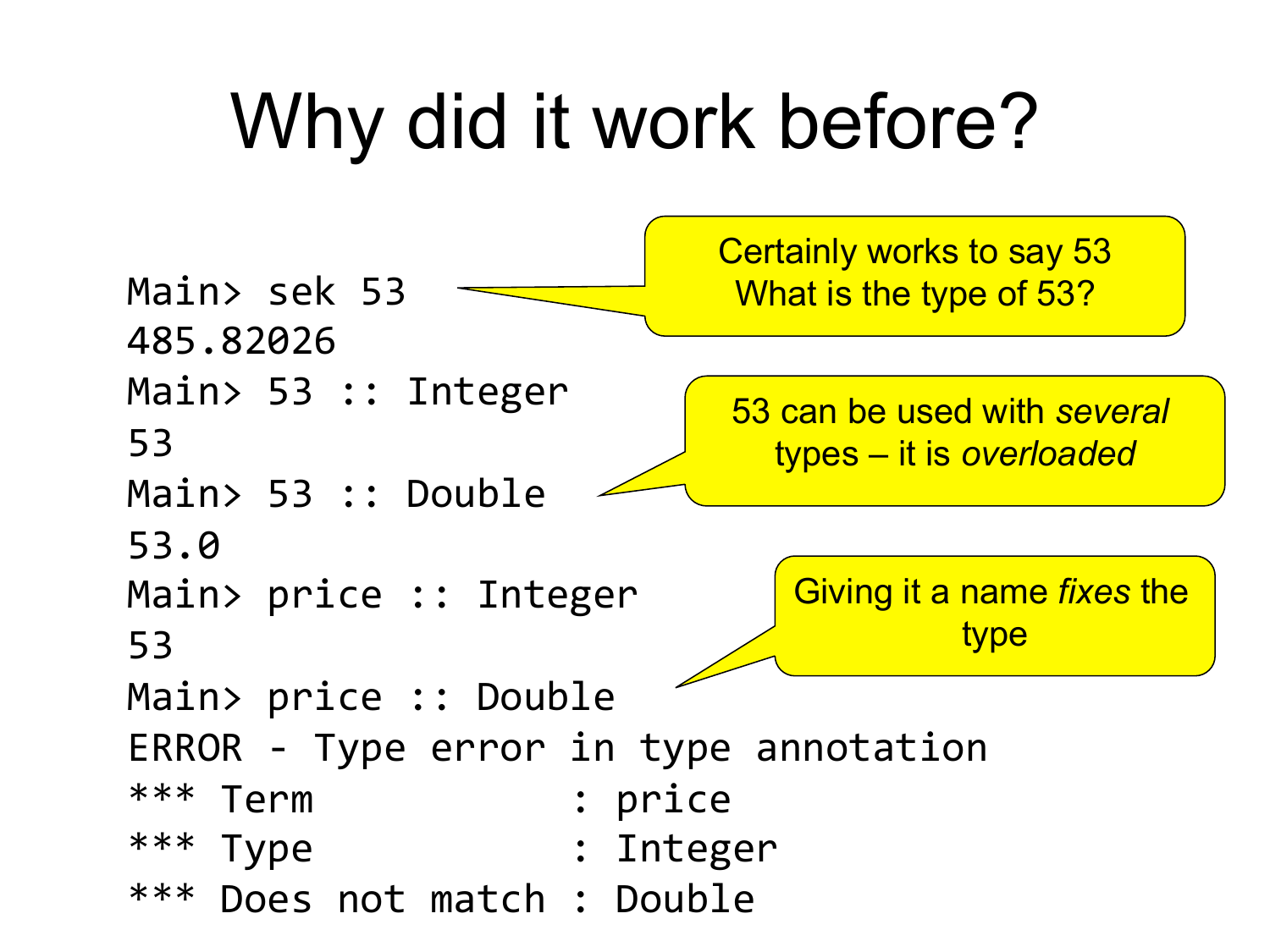#### Why did it work before?

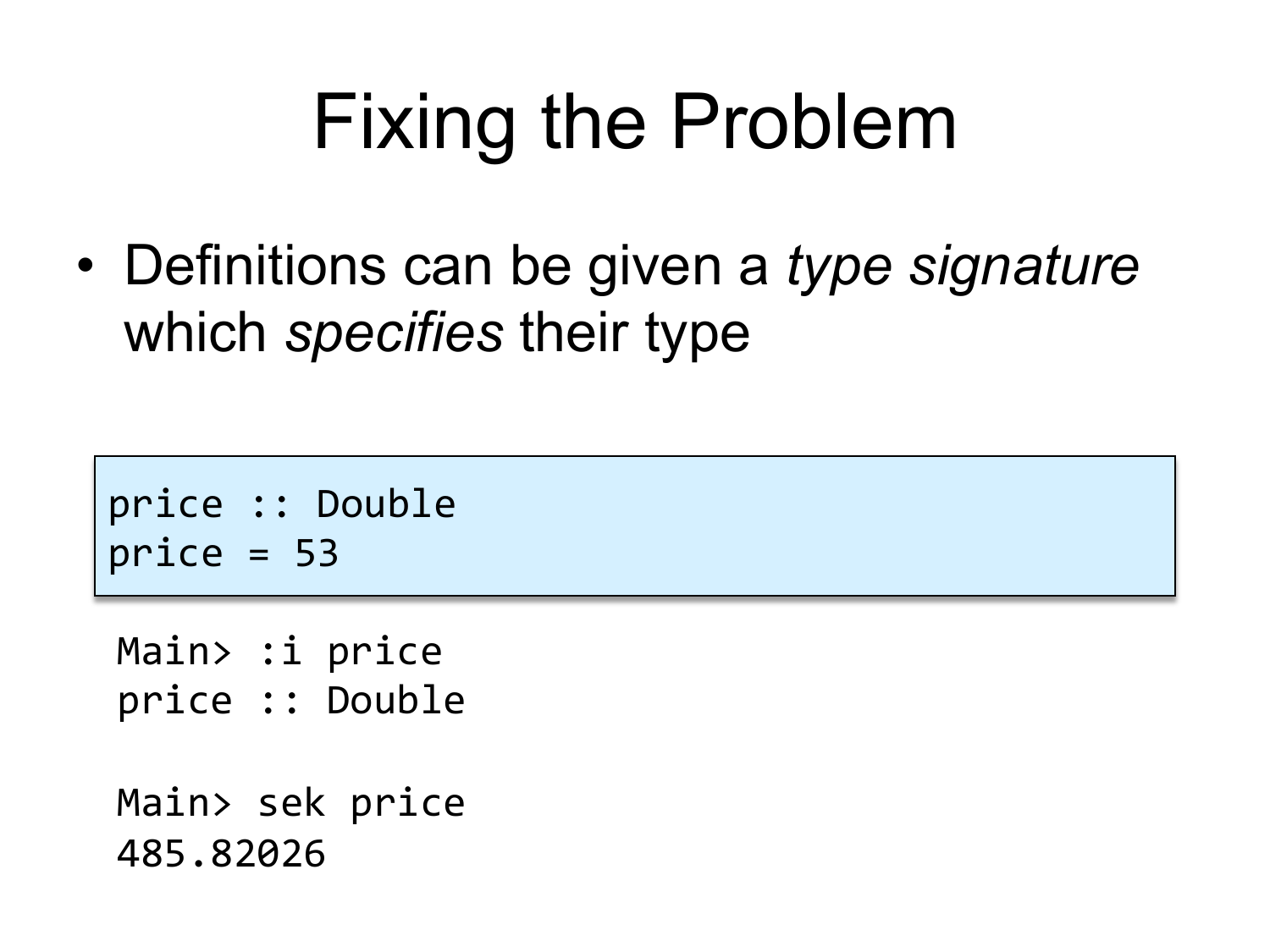#### Fixing the Problem

• Definitions can be given a *type signature* which *specifies* their type

```
price :: Double
price = 53
```
Main> :i price price :: Double

Main> sek price 485.82026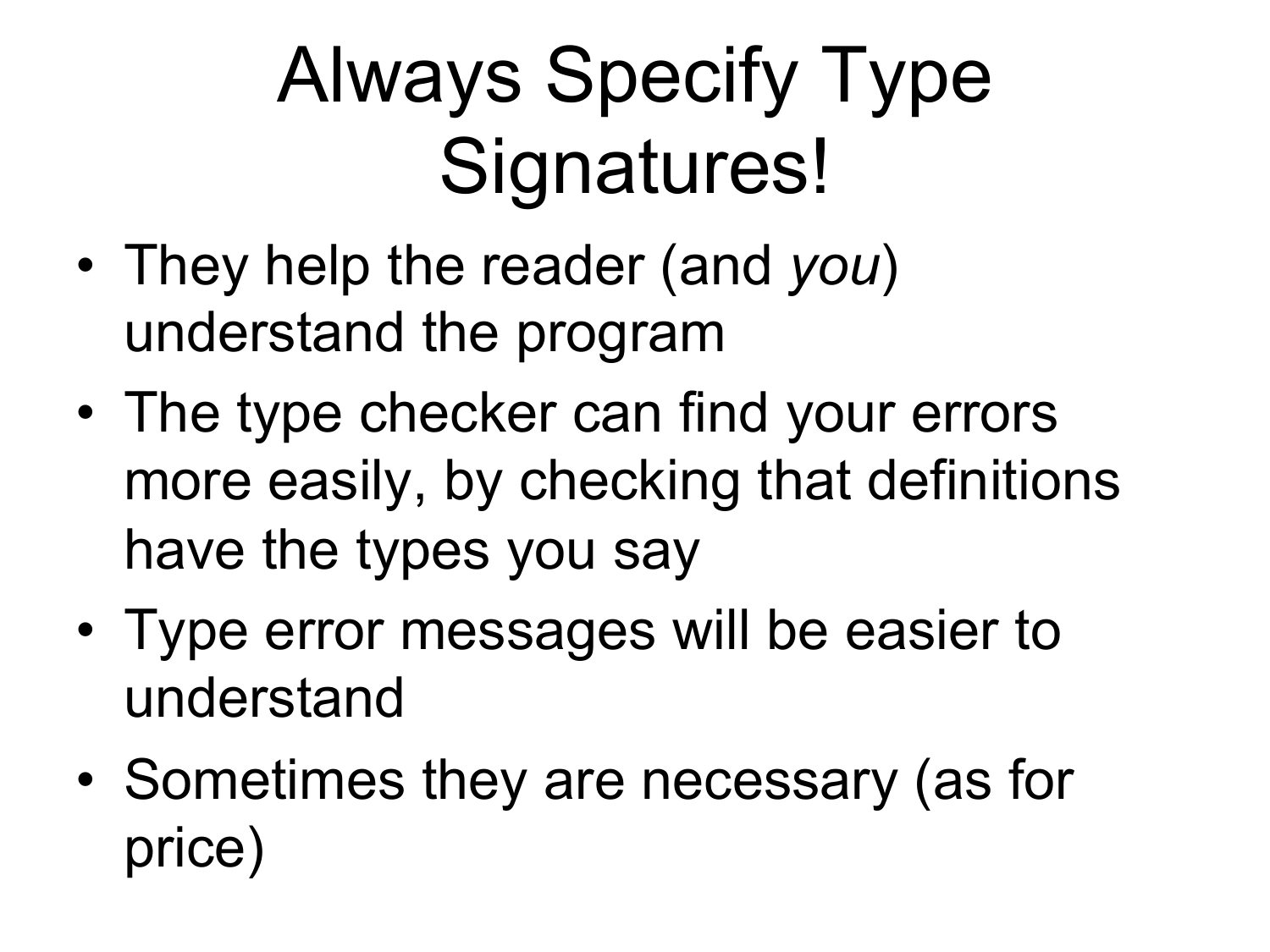# Always Specify Type Signatures!

- They help the reader (and *you*) understand the program
- The type checker can find your errors more easily, by checking that definitions have the types you say
- Type error messages will be easier to understand
- Sometimes they are necessary (as for price)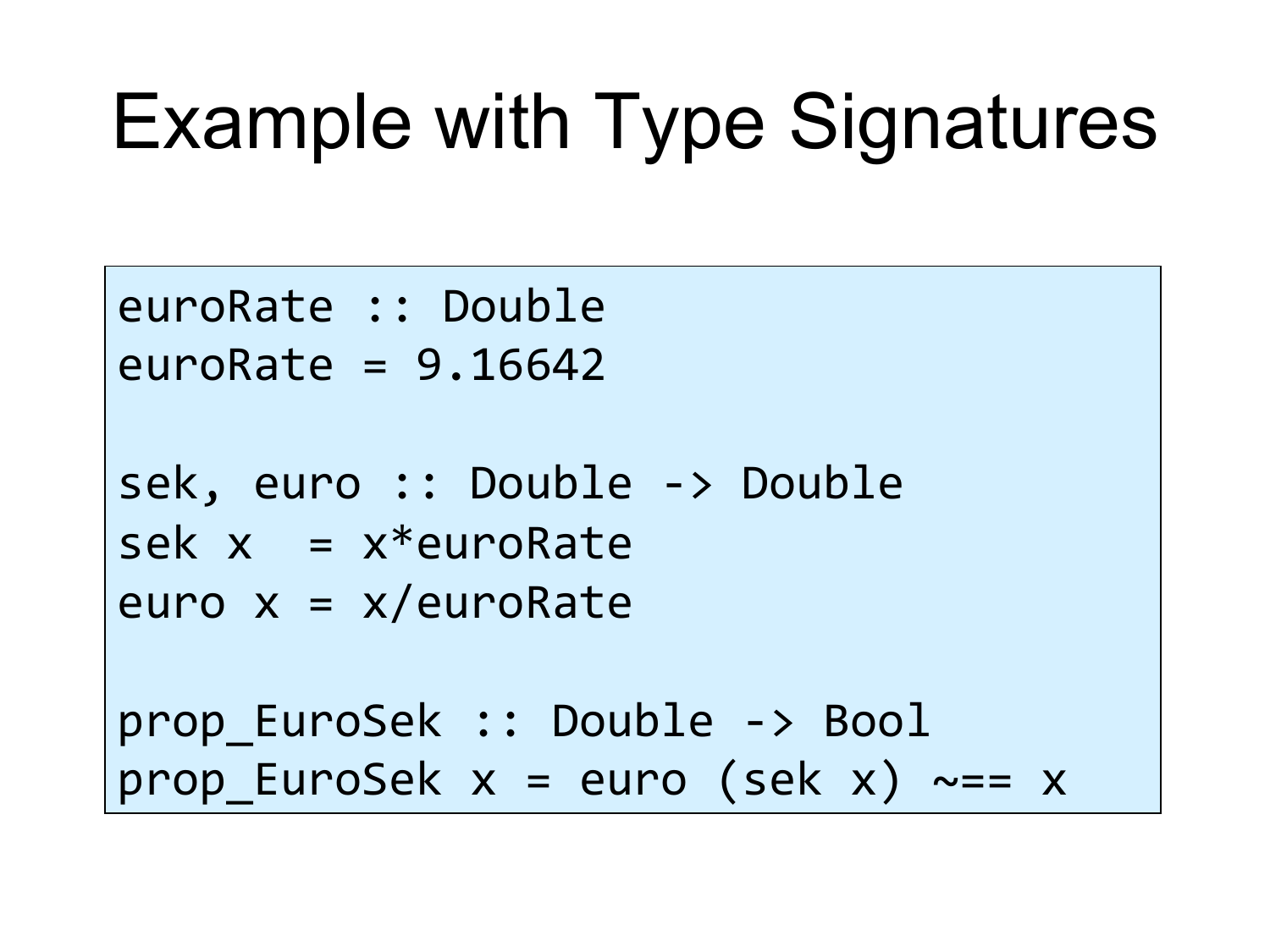# Example with Type Signatures

euroRate :: Double  $euroRate = 9.16642$ sek, euro :: Double -> Double  $sek$   $x = x*euroRate$ euro  $x = x/e$ uroRate prop EuroSek :: Double -> Bool prop EuroSek  $x = euro$  (sek  $x$ ) ~== x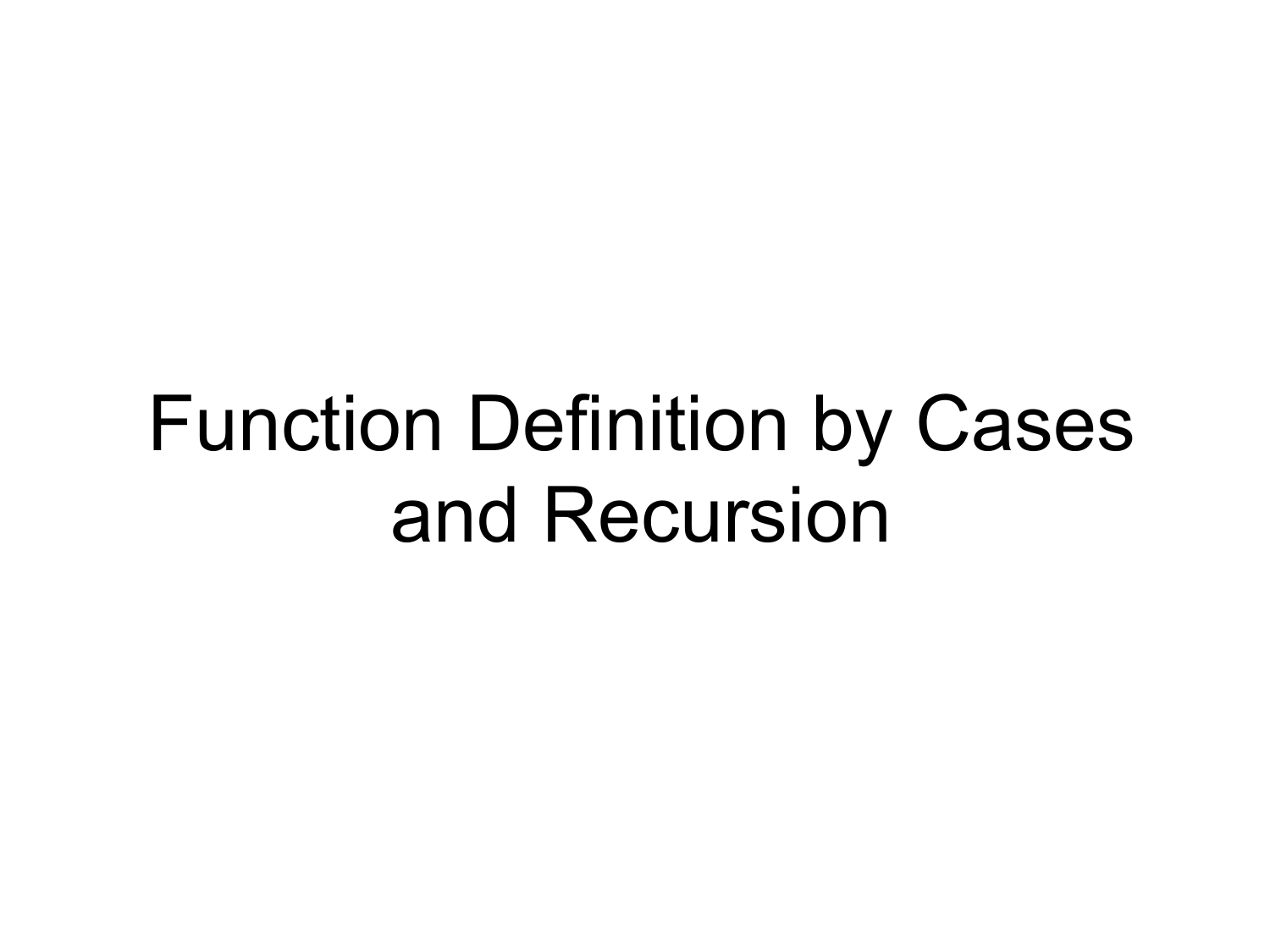#### Function Definition by Cases and Recursion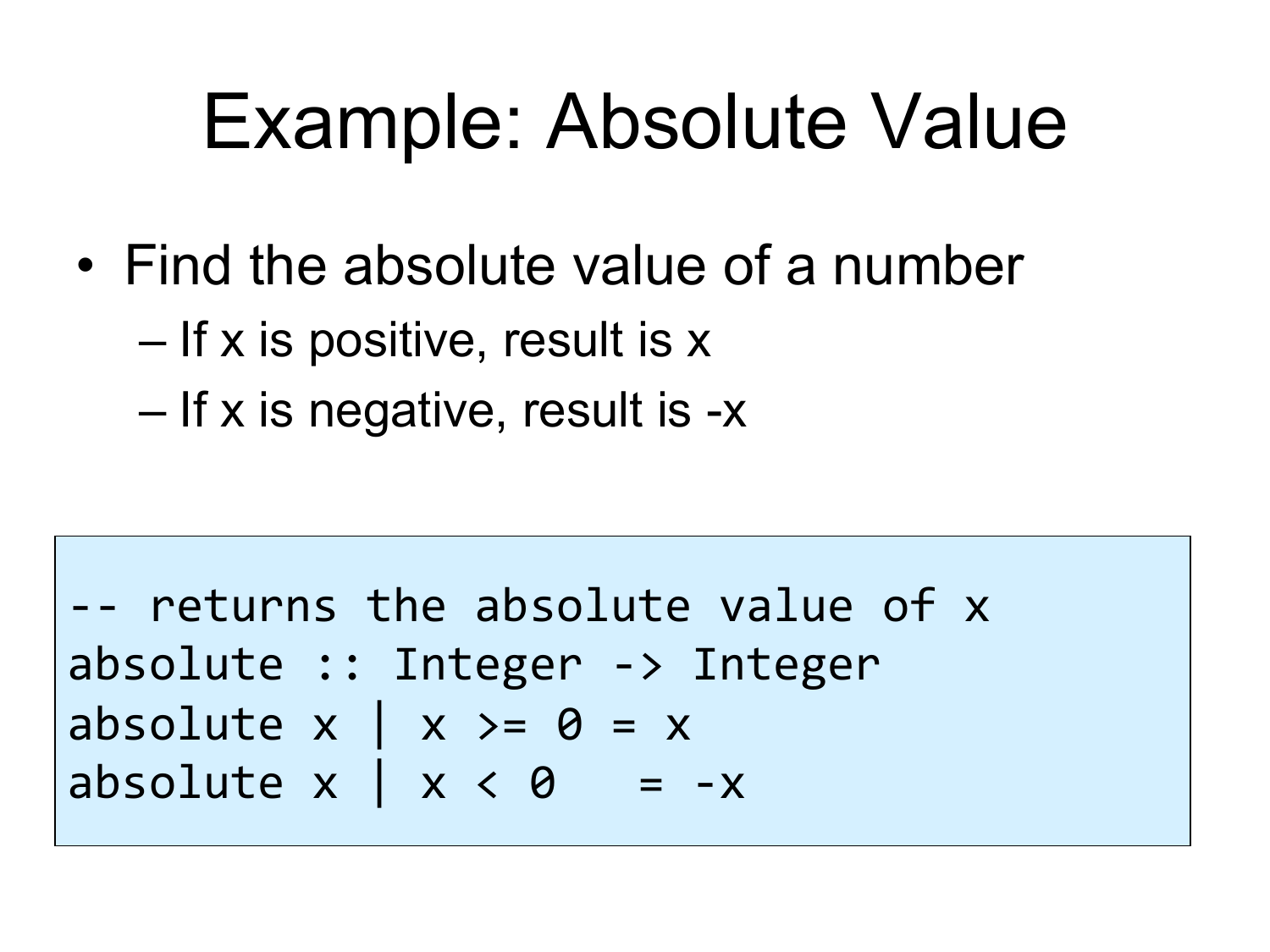#### Example: Absolute Value

- Find the absolute value of a number
	- If x is positive, result is x
	- If x is negative, result is -x

!!"returns"the"absolute"value"of"x" absolute"::"Integer"!>"Integer absolute"x"|"x">="0"="x" absolute"x"|"x"<"0"""="!x"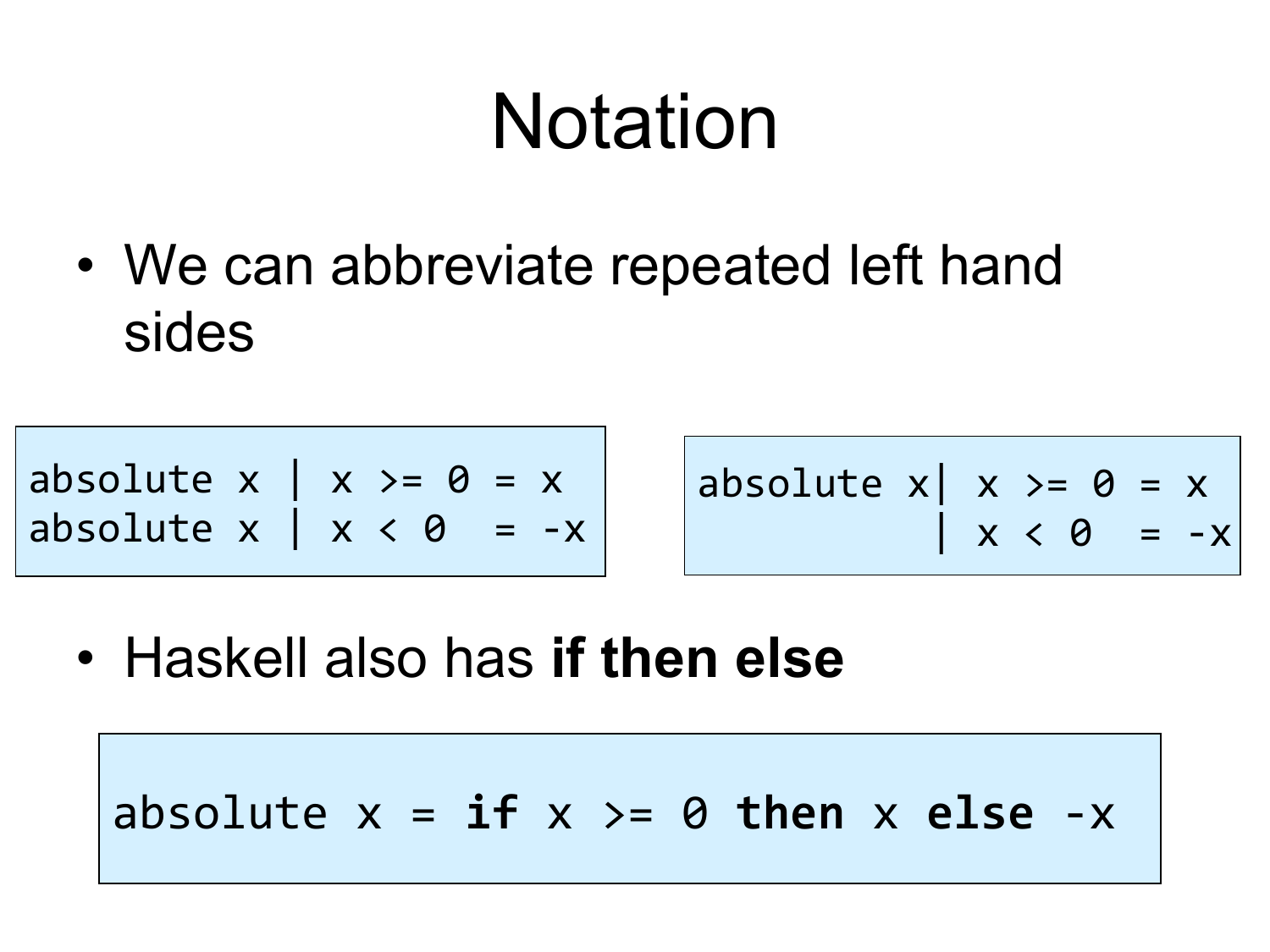#### Notation

• We can abbreviate repeated left hand sides

absolute  $x \mid x \rangle = 0 = x$ absolute  $x \mid x < 0$ " =  $-x$ 

absolute  $x| x > = 0 = x$ """"""""""|"x"<"0""="!x"

• Haskell also has **if then else**

absolute  $x = if x > = 0$  then  $x$  else  $-x$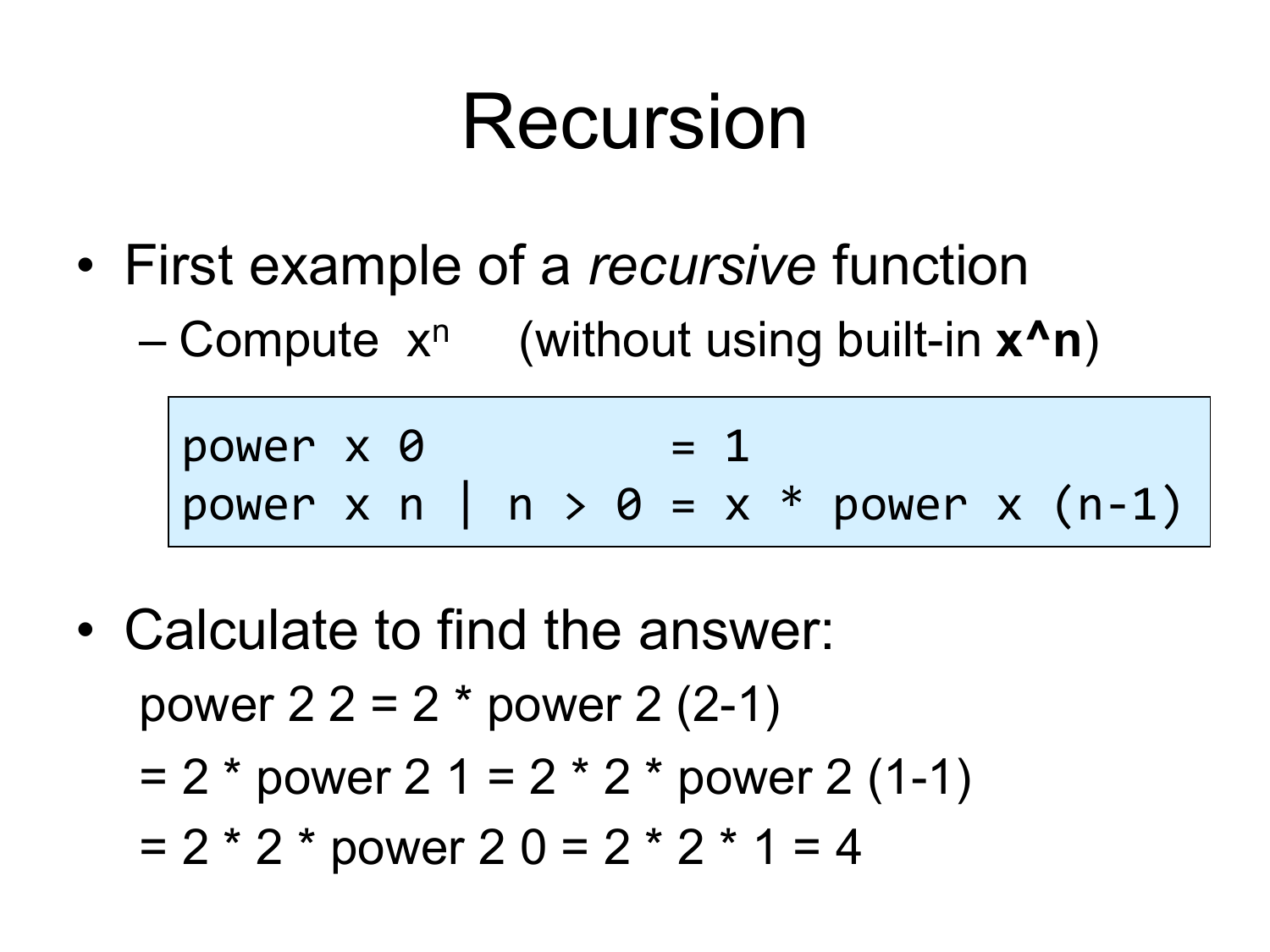#### Recursion

- First example of a *recursive* function
	- $-$  Compute  $x^n$  (without using built-in  $x^nn$ )

 $power \times 0$  = 1 power x n | n >  $\theta = x * power \times (n-1)$ 

• Calculate to find the answer: power  $22 = 2 * power 2 (2-1)$  $= 2 * power 2 1 = 2 * 2 * power 2 (1-1)$  $= 2 * 2 * power 2 0 = 2 * 2 * 1 = 4$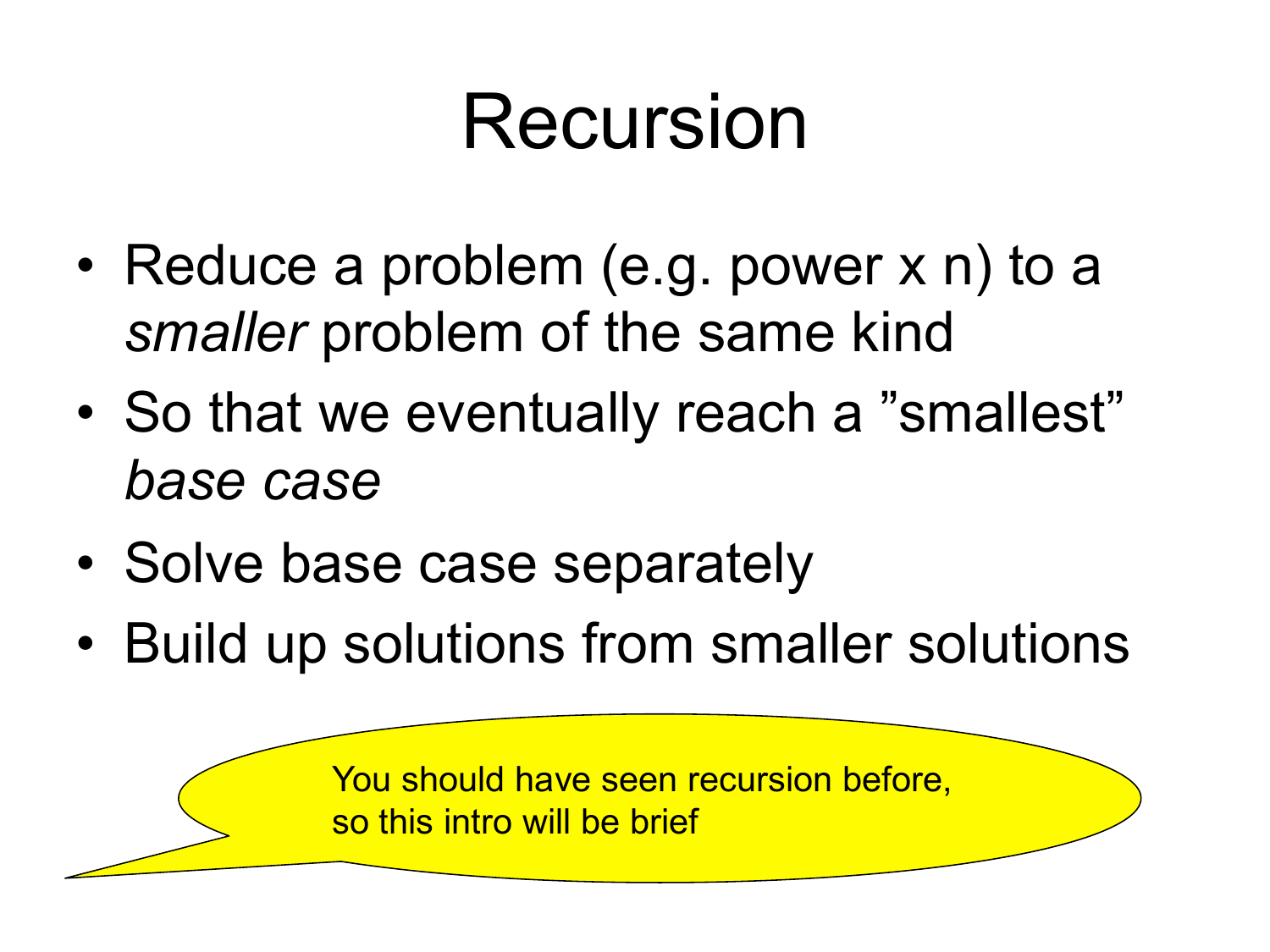#### Recursion

- Reduce a problem (e.g. power x n) to a *smaller* problem of the same kind
- So that we eventually reach a "smallest" *base case*
- Solve base case separately
- Build up solutions from smaller solutions

You should have seen recursion before, so this intro will be brief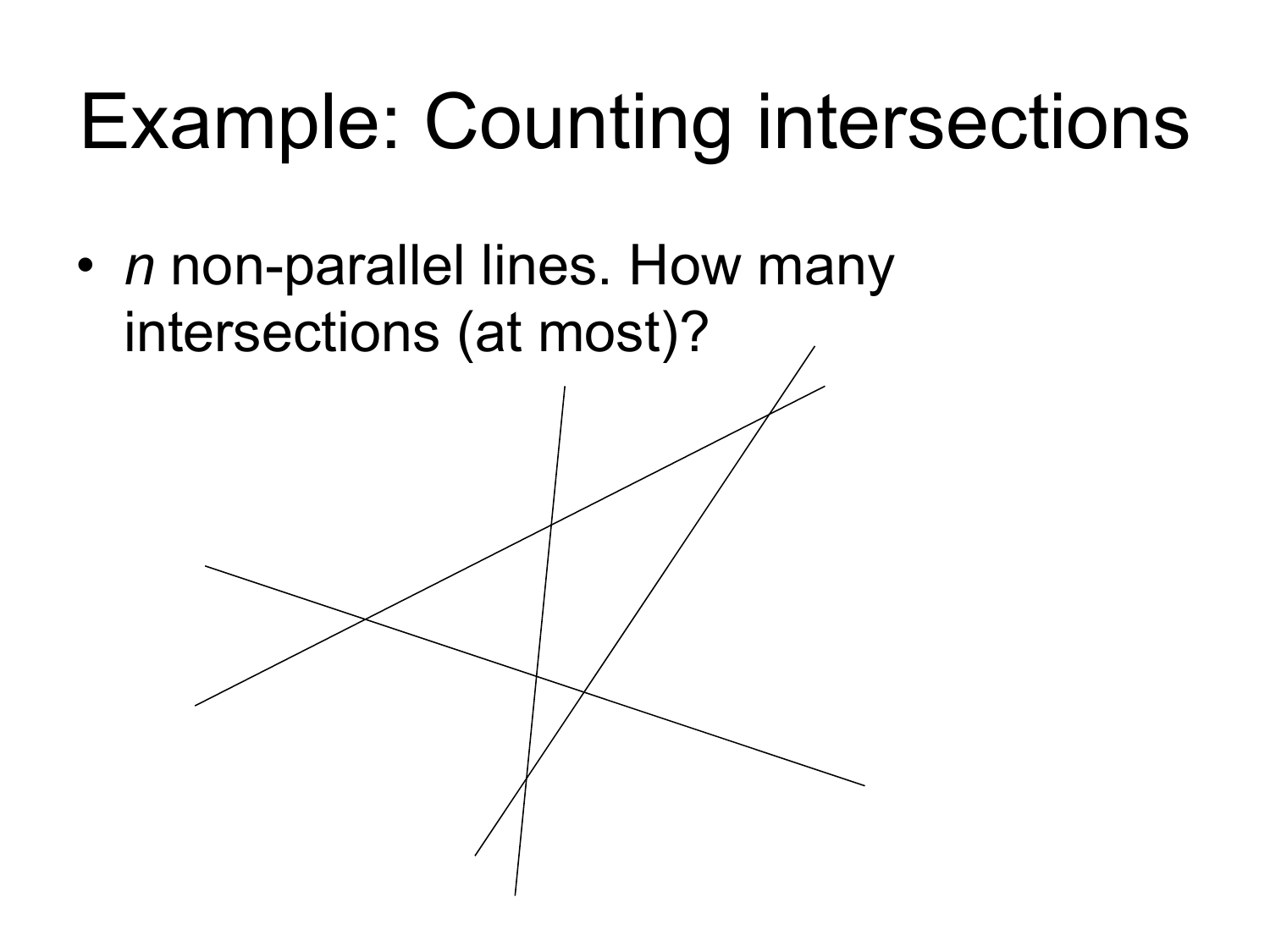# Example: Counting intersections

• *n* non-parallel lines. How many intersections (at most)?